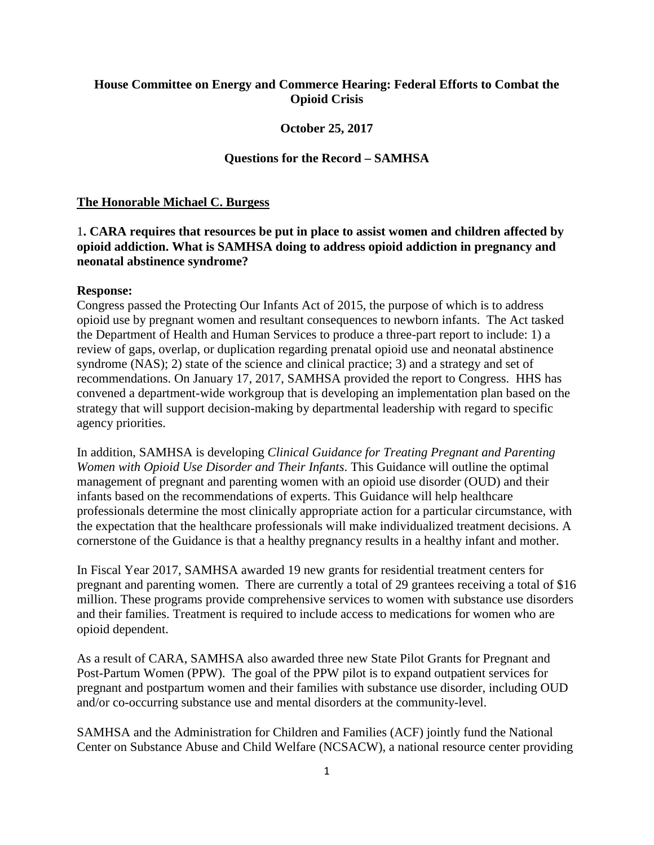## **House Committee on Energy and Commerce Hearing: Federal Efforts to Combat the Opioid Crisis**

### **October 25, 2017**

### **Questions for the Record – SAMHSA**

### **The Honorable Michael C. Burgess**

## 1**. CARA requires that resources be put in place to assist women and children affected by opioid addiction. What is SAMHSA doing to address opioid addiction in pregnancy and neonatal abstinence syndrome?**

### **Response:**

Congress passed the Protecting Our Infants Act of 2015, the purpose of which is to address opioid use by pregnant women and resultant consequences to newborn infants. The Act tasked the Department of Health and Human Services to produce a three-part report to include: 1) a review of gaps, overlap, or duplication regarding prenatal opioid use and neonatal abstinence syndrome (NAS); 2) state of the science and clinical practice; 3) and a strategy and set of recommendations. On January 17, 2017, SAMHSA provided the report to Congress. HHS has convened a department-wide workgroup that is developing an implementation plan based on the strategy that will support decision-making by departmental leadership with regard to specific agency priorities.

In addition, SAMHSA is developing *Clinical Guidance for Treating Pregnant and Parenting Women with Opioid Use Disorder and Their Infants*. This Guidance will outline the optimal management of pregnant and parenting women with an opioid use disorder (OUD) and their infants based on the recommendations of experts. This Guidance will help healthcare professionals determine the most clinically appropriate action for a particular circumstance, with the expectation that the healthcare professionals will make individualized treatment decisions. A cornerstone of the Guidance is that a healthy pregnancy results in a healthy infant and mother.

In Fiscal Year 2017, SAMHSA awarded 19 new grants for residential treatment centers for pregnant and parenting women. There are currently a total of 29 grantees receiving a total of \$16 million. These programs provide comprehensive services to women with substance use disorders and their families. Treatment is required to include access to medications for women who are opioid dependent.

As a result of CARA, SAMHSA also awarded three new State Pilot Grants for Pregnant and Post-Partum Women (PPW). The goal of the PPW pilot is to expand outpatient services for pregnant and postpartum women and their families with substance use disorder, including OUD and/or co-occurring substance use and mental disorders at the community-level.

SAMHSA and the Administration for Children and Families (ACF) jointly fund the National Center on Substance Abuse and Child Welfare (NCSACW), a national resource center providing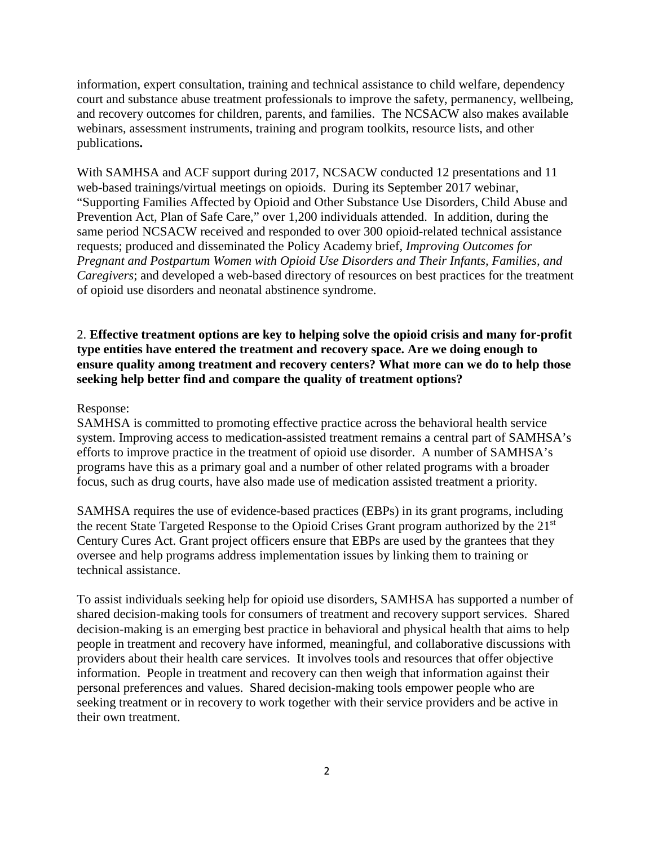information, expert consultation, training and technical assistance to child welfare, dependency court and substance abuse treatment professionals to improve the safety, permanency, wellbeing, and recovery outcomes for children, parents, and families. The NCSACW also makes available webinars, assessment instruments, training and program toolkits, resource lists, and other publications**.** 

With SAMHSA and ACF support during 2017, NCSACW conducted 12 presentations and 11 web-based trainings/virtual meetings on opioids. During its September 2017 webinar, "Supporting Families Affected by Opioid and Other Substance Use Disorders, Child Abuse and Prevention Act, Plan of Safe Care," over 1,200 individuals attended. In addition, during the same period NCSACW received and responded to over 300 opioid-related technical assistance requests; produced and disseminated the Policy Academy brief*, Improving Outcomes for Pregnant and Postpartum Women with Opioid Use Disorders and Their Infants, Families, and Caregivers*; and developed a web-based directory of resources on best practices for the treatment of opioid use disorders and neonatal abstinence syndrome.

# 2. **Effective treatment options are key to helping solve the opioid crisis and many for-profit type entities have entered the treatment and recovery space. Are we doing enough to ensure quality among treatment and recovery centers? What more can we do to help those seeking help better find and compare the quality of treatment options?**

### Response:

SAMHSA is committed to promoting effective practice across the behavioral health service system. Improving access to medication-assisted treatment remains a central part of SAMHSA's efforts to improve practice in the treatment of opioid use disorder. A number of SAMHSA's programs have this as a primary goal and a number of other related programs with a broader focus, such as drug courts, have also made use of medication assisted treatment a priority.

SAMHSA requires the use of evidence-based practices (EBPs) in its grant programs, including the recent State Targeted Response to the Opioid Crises Grant program authorized by the 21st Century Cures Act. Grant project officers ensure that EBPs are used by the grantees that they oversee and help programs address implementation issues by linking them to training or technical assistance.

To assist individuals seeking help for opioid use disorders, SAMHSA has supported a number of shared decision-making tools for consumers of treatment and recovery support services. Shared decision-making is an emerging best practice in behavioral and physical health that aims to help people in treatment and recovery have informed, meaningful, and collaborative discussions with providers about their health care services. It involves tools and resources that offer objective information. People in treatment and recovery can then weigh that information against their personal preferences and values. Shared decision-making tools empower people who are seeking treatment or in recovery to work together with their service providers and be active in their own treatment.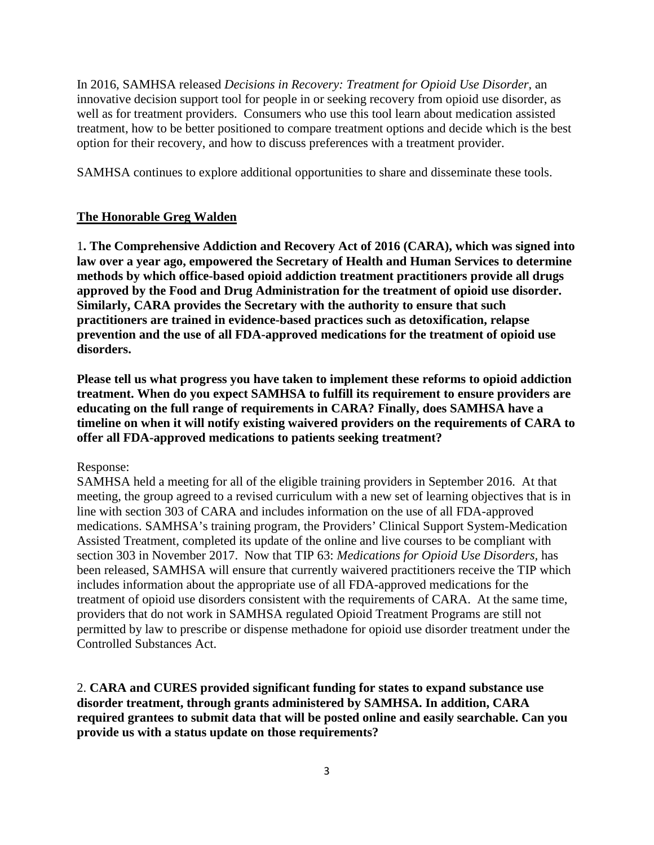In 2016, SAMHSA released *Decisions in Recovery: Treatment for Opioid Use Disorder*, an innovative decision support tool for people in or seeking recovery from opioid use disorder, as well as for treatment providers. Consumers who use this tool learn about medication assisted treatment, how to be better positioned to compare treatment options and decide which is the best option for their recovery, and how to discuss preferences with a treatment provider.

SAMHSA continues to explore additional opportunities to share and disseminate these tools.

## **The Honorable Greg Walden**

1**. The Comprehensive Addiction and Recovery Act of 2016 (CARA), which was signed into law over a year ago, empowered the Secretary of Health and Human Services to determine methods by which office-based opioid addiction treatment practitioners provide all drugs approved by the Food and Drug Administration for the treatment of opioid use disorder. Similarly, CARA provides the Secretary with the authority to ensure that such practitioners are trained in evidence-based practices such as detoxification, relapse prevention and the use of all FDA-approved medications for the treatment of opioid use disorders.**

**Please tell us what progress you have taken to implement these reforms to opioid addiction treatment. When do you expect SAMHSA to fulfill its requirement to ensure providers are educating on the full range of requirements in CARA? Finally, does SAMHSA have a timeline on when it will notify existing waivered providers on the requirements of CARA to offer all FDA-approved medications to patients seeking treatment?**

Response:

SAMHSA held a meeting for all of the eligible training providers in September 2016. At that meeting, the group agreed to a revised curriculum with a new set of learning objectives that is in line with section 303 of CARA and includes information on the use of all FDA-approved medications. SAMHSA's training program, the Providers' Clinical Support System-Medication Assisted Treatment, completed its update of the online and live courses to be compliant with section 303 in November 2017. Now that TIP 63: *Medications for Opioid Use Disorders,* has been released, SAMHSA will ensure that currently waivered practitioners receive the TIP which includes information about the appropriate use of all FDA-approved medications for the treatment of opioid use disorders consistent with the requirements of CARA. At the same time, providers that do not work in SAMHSA regulated Opioid Treatment Programs are still not permitted by law to prescribe or dispense methadone for opioid use disorder treatment under the Controlled Substances Act.

2. **CARA and CURES provided significant funding for states to expand substance use disorder treatment, through grants administered by SAMHSA. In addition, CARA required grantees to submit data that will be posted online and easily searchable. Can you provide us with a status update on those requirements?**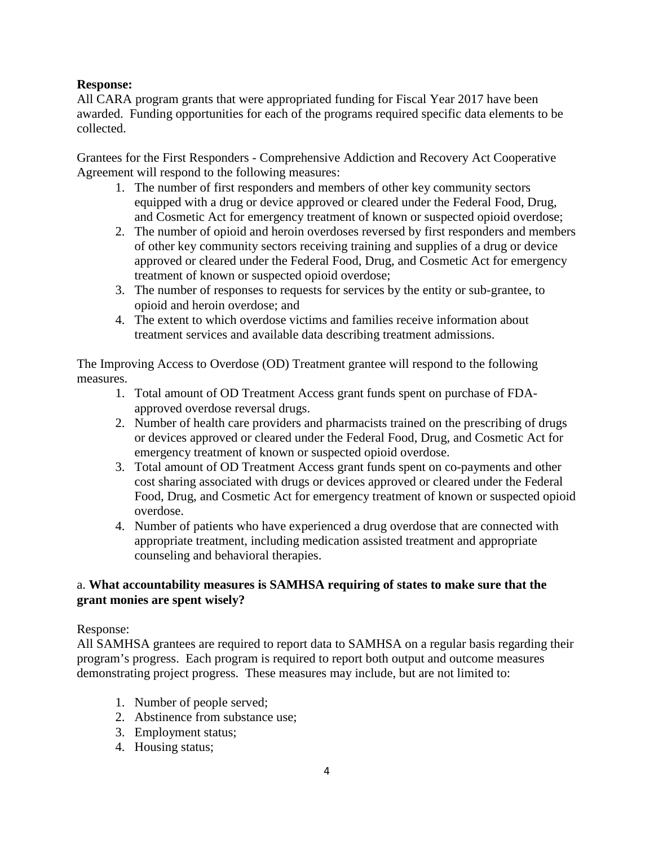# **Response:**

All CARA program grants that were appropriated funding for Fiscal Year 2017 have been awarded. Funding opportunities for each of the programs required specific data elements to be collected.

Grantees for the First Responders - Comprehensive Addiction and Recovery Act Cooperative Agreement will respond to the following measures:

- 1. The number of first responders and members of other key community sectors equipped with a drug or device approved or cleared under the Federal Food, Drug, and Cosmetic Act for emergency treatment of known or suspected opioid overdose;
- 2. The number of opioid and heroin overdoses reversed by first responders and members of other key community sectors receiving training and supplies of a drug or device approved or cleared under the Federal Food, Drug, and Cosmetic Act for emergency treatment of known or suspected opioid overdose;
- 3. The number of responses to requests for services by the entity or sub-grantee, to opioid and heroin overdose; and
- 4. The extent to which overdose victims and families receive information about treatment services and available data describing treatment admissions.

The Improving Access to Overdose (OD) Treatment grantee will respond to the following measures.

- 1. Total amount of OD Treatment Access grant funds spent on purchase of FDAapproved overdose reversal drugs.
- 2. Number of health care providers and pharmacists trained on the prescribing of drugs or devices approved or cleared under the Federal Food, Drug, and Cosmetic Act for emergency treatment of known or suspected opioid overdose.
- 3. Total amount of OD Treatment Access grant funds spent on co-payments and other cost sharing associated with drugs or devices approved or cleared under the Federal Food, Drug, and Cosmetic Act for emergency treatment of known or suspected opioid overdose.
- 4. Number of patients who have experienced a drug overdose that are connected with appropriate treatment, including medication assisted treatment and appropriate counseling and behavioral therapies.

# a. **What accountability measures is SAMHSA requiring of states to make sure that the grant monies are spent wisely?**

## Response:

All SAMHSA grantees are required to report data to SAMHSA on a regular basis regarding their program's progress. Each program is required to report both output and outcome measures demonstrating project progress. These measures may include, but are not limited to:

- 1. Number of people served;
- 2. Abstinence from substance use;
- 3. Employment status;
- 4. Housing status;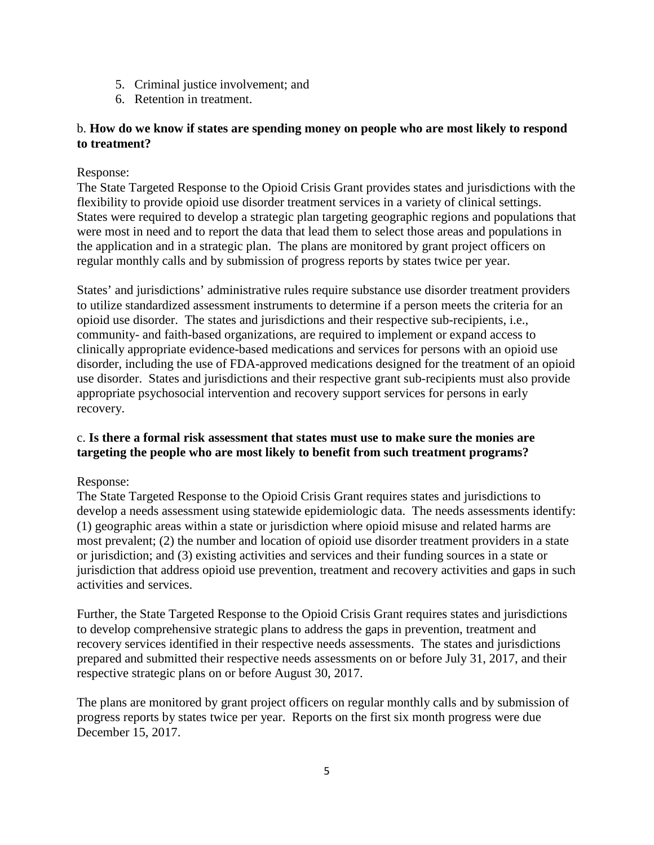- 5. Criminal justice involvement; and
- 6. Retention in treatment.

# b. **How do we know if states are spending money on people who are most likely to respond to treatment?**

## Response:

The State Targeted Response to the Opioid Crisis Grant provides states and jurisdictions with the flexibility to provide opioid use disorder treatment services in a variety of clinical settings. States were required to develop a strategic plan targeting geographic regions and populations that were most in need and to report the data that lead them to select those areas and populations in the application and in a strategic plan. The plans are monitored by grant project officers on regular monthly calls and by submission of progress reports by states twice per year.

States' and jurisdictions' administrative rules require substance use disorder treatment providers to utilize standardized assessment instruments to determine if a person meets the criteria for an opioid use disorder. The states and jurisdictions and their respective sub-recipients, i.e., community- and faith-based organizations, are required to implement or expand access to clinically appropriate evidence-based medications and services for persons with an opioid use disorder, including the use of FDA-approved medications designed for the treatment of an opioid use disorder. States and jurisdictions and their respective grant sub-recipients must also provide appropriate psychosocial intervention and recovery support services for persons in early recovery.

# c. **Is there a formal risk assessment that states must use to make sure the monies are targeting the people who are most likely to benefit from such treatment programs?**

# Response:

The State Targeted Response to the Opioid Crisis Grant requires states and jurisdictions to develop a needs assessment using statewide epidemiologic data. The needs assessments identify: (1) geographic areas within a state or jurisdiction where opioid misuse and related harms are most prevalent; (2) the number and location of opioid use disorder treatment providers in a state or jurisdiction; and (3) existing activities and services and their funding sources in a state or jurisdiction that address opioid use prevention, treatment and recovery activities and gaps in such activities and services.

Further, the State Targeted Response to the Opioid Crisis Grant requires states and jurisdictions to develop comprehensive strategic plans to address the gaps in prevention, treatment and recovery services identified in their respective needs assessments. The states and jurisdictions prepared and submitted their respective needs assessments on or before July 31, 2017, and their respective strategic plans on or before August 30, 2017.

The plans are monitored by grant project officers on regular monthly calls and by submission of progress reports by states twice per year. Reports on the first six month progress were due December 15, 2017.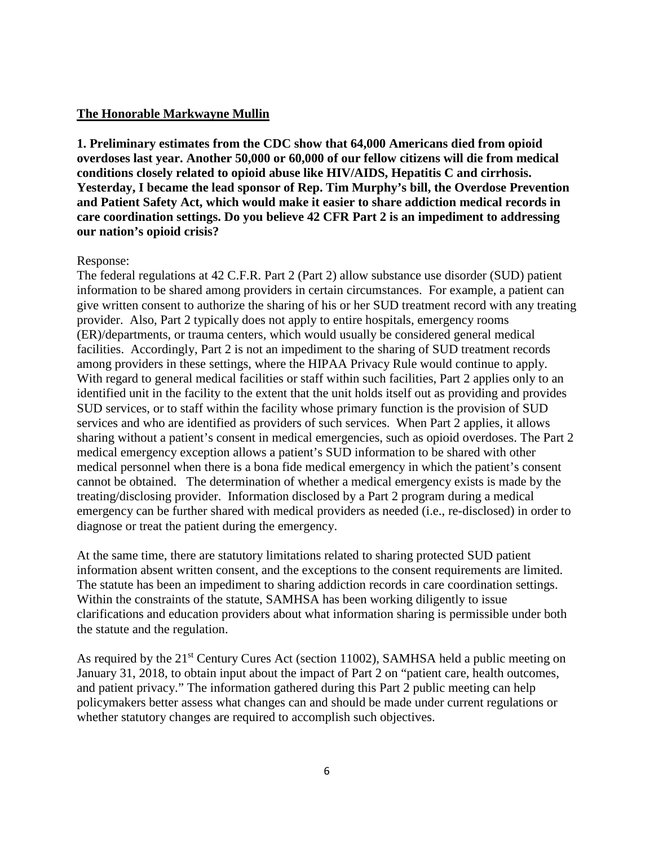### **The Honorable Markwayne Mullin**

**1. Preliminary estimates from the CDC show that 64,000 Americans died from opioid overdoses last year. Another 50,000 or 60,000 of our fellow citizens will die from medical conditions closely related to opioid abuse like HIV/AIDS, Hepatitis C and cirrhosis. Yesterday, I became the lead sponsor of Rep. Tim Murphy's bill, the Overdose Prevention and Patient Safety Act, which would make it easier to share addiction medical records in care coordination settings. Do you believe 42 CFR Part 2 is an impediment to addressing our nation's opioid crisis?**

### Response:

The federal regulations at 42 C.F.R. Part 2 (Part 2) allow substance use disorder (SUD) patient information to be shared among providers in certain circumstances. For example, a patient can give written consent to authorize the sharing of his or her SUD treatment record with any treating provider. Also, Part 2 typically does not apply to entire hospitals, emergency rooms (ER)/departments, or trauma centers, which would usually be considered general medical facilities. Accordingly, Part 2 is not an impediment to the sharing of SUD treatment records among providers in these settings, where the HIPAA Privacy Rule would continue to apply. With regard to general medical facilities or staff within such facilities, Part 2 applies only to an identified unit in the facility to the extent that the unit holds itself out as providing and provides SUD services, or to staff within the facility whose primary function is the provision of SUD services and who are identified as providers of such services. When Part 2 applies, it allows sharing without a patient's consent in medical emergencies, such as opioid overdoses. The Part 2 medical emergency exception allows a patient's SUD information to be shared with other medical personnel when there is a bona fide medical emergency in which the patient's consent cannot be obtained. The determination of whether a medical emergency exists is made by the treating/disclosing provider. Information disclosed by a Part 2 program during a medical emergency can be further shared with medical providers as needed (i.e., re-disclosed) in order to diagnose or treat the patient during the emergency.

At the same time, there are statutory limitations related to sharing protected SUD patient information absent written consent, and the exceptions to the consent requirements are limited. The statute has been an impediment to sharing addiction records in care coordination settings. Within the constraints of the statute, SAMHSA has been working diligently to issue clarifications and education providers about what information sharing is permissible under both the statute and the regulation.

As required by the 21<sup>st</sup> Century Cures Act (section 11002), SAMHSA held a public meeting on January 31, 2018, to obtain input about the impact of Part 2 on "patient care, health outcomes, and patient privacy." The information gathered during this Part 2 public meeting can help policymakers better assess what changes can and should be made under current regulations or whether statutory changes are required to accomplish such objectives.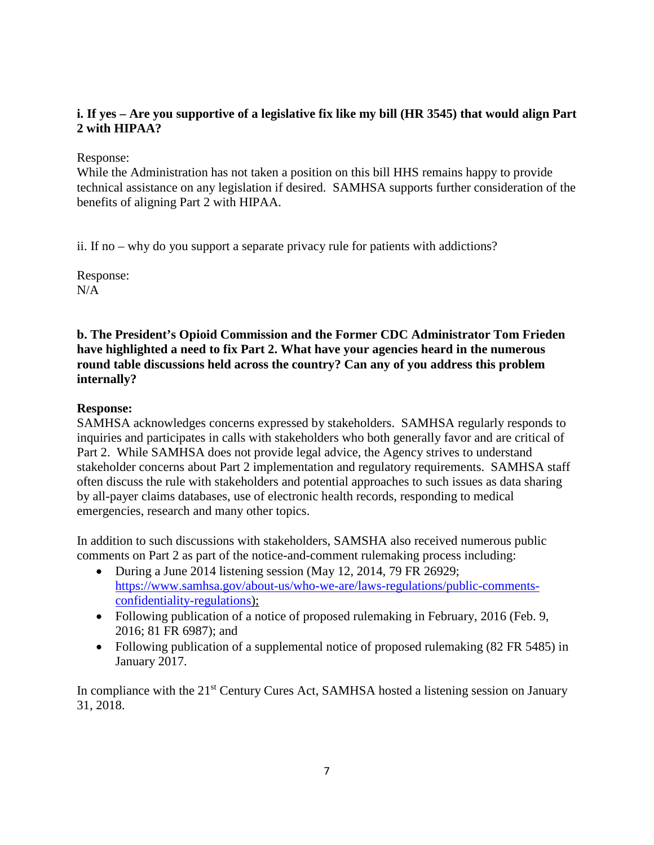# **i. If yes – Are you supportive of a legislative fix like my bill (HR 3545) that would align Part 2 with HIPAA?**

Response:

While the Administration has not taken a position on this bill HHS remains happy to provide technical assistance on any legislation if desired. SAMHSA supports further consideration of the benefits of aligning Part 2 with HIPAA.

ii. If no – why do you support a separate privacy rule for patients with addictions?

Response:  $N/A$ 

**b. The President's Opioid Commission and the Former CDC Administrator Tom Frieden have highlighted a need to fix Part 2. What have your agencies heard in the numerous round table discussions held across the country? Can any of you address this problem internally?** 

# **Response:**

SAMHSA acknowledges concerns expressed by stakeholders. SAMHSA regularly responds to inquiries and participates in calls with stakeholders who both generally favor and are critical of Part 2. While SAMHSA does not provide legal advice, the Agency strives to understand stakeholder concerns about Part 2 implementation and regulatory requirements. SAMHSA staff often discuss the rule with stakeholders and potential approaches to such issues as data sharing by all-payer claims databases, use of electronic health records, responding to medical emergencies, research and many other topics.

In addition to such discussions with stakeholders, SAMSHA also received numerous public comments on Part 2 as part of the notice-and-comment rulemaking process including:

- During a June 2014 listening session (May 12, 2014, 79 FR 26929; [https://www.samhsa.gov/about-us/who-we-are/laws-regulations/public-comments](https://www.samhsa.gov/about-us/who-we-are/laws-regulations/public-comments-confidentiality-regulations)[confidentiality-regulations\)](https://www.samhsa.gov/about-us/who-we-are/laws-regulations/public-comments-confidentiality-regulations);
- Following publication of a notice of proposed rulemaking in February, 2016 (Feb. 9, 2016; 81 FR 6987); and
- Following publication of a supplemental notice of proposed rulemaking (82 FR 5485) in January 2017.

In compliance with the 21<sup>st</sup> Century Cures Act, SAMHSA hosted a listening session on January 31, 2018.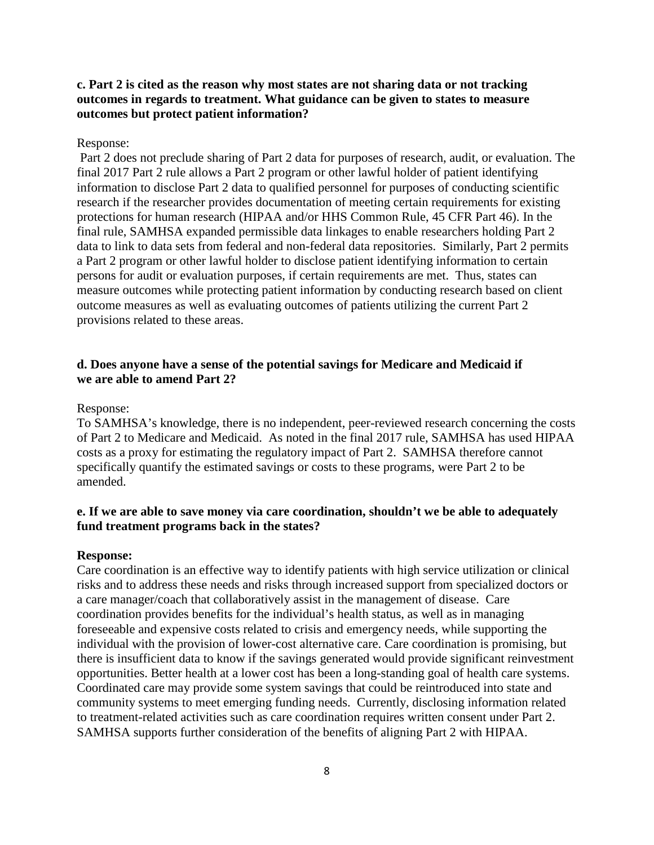## **c. Part 2 is cited as the reason why most states are not sharing data or not tracking outcomes in regards to treatment. What guidance can be given to states to measure outcomes but protect patient information?**

### Response:

Part 2 does not preclude sharing of Part 2 data for purposes of research, audit, or evaluation. The final 2017 Part 2 rule allows a Part 2 program or other lawful holder of patient identifying information to disclose Part 2 data to qualified personnel for purposes of conducting scientific research if the researcher provides documentation of meeting certain requirements for existing protections for human research (HIPAA and/or HHS Common Rule, 45 CFR Part 46). In the final rule, SAMHSA expanded permissible data linkages to enable researchers holding Part 2 data to link to data sets from federal and non-federal data repositories. Similarly, Part 2 permits a Part 2 program or other lawful holder to disclose patient identifying information to certain persons for audit or evaluation purposes, if certain requirements are met. Thus, states can measure outcomes while protecting patient information by conducting research based on client outcome measures as well as evaluating outcomes of patients utilizing the current Part 2 provisions related to these areas.

## **d. Does anyone have a sense of the potential savings for Medicare and Medicaid if we are able to amend Part 2?**

#### Response:

To SAMHSA's knowledge, there is no independent, peer-reviewed research concerning the costs of Part 2 to Medicare and Medicaid. As noted in the final 2017 rule, SAMHSA has used HIPAA costs as a proxy for estimating the regulatory impact of Part 2. SAMHSA therefore cannot specifically quantify the estimated savings or costs to these programs, were Part 2 to be amended.

### **e. If we are able to save money via care coordination, shouldn't we be able to adequately fund treatment programs back in the states?**

#### **Response:**

Care coordination is an effective way to identify patients with high service utilization or clinical risks and to address these needs and risks through increased support from specialized doctors or a care manager/coach that collaboratively assist in the management of disease. Care coordination provides benefits for the individual's health status, as well as in managing foreseeable and expensive costs related to crisis and emergency needs, while supporting the individual with the provision of lower-cost alternative care. Care coordination is promising, but there is insufficient data to know if the savings generated would provide significant reinvestment opportunities. Better health at a lower cost has been a long-standing goal of health care systems. Coordinated care may provide some system savings that could be reintroduced into state and community systems to meet emerging funding needs. Currently, disclosing information related to treatment-related activities such as care coordination requires written consent under Part 2. SAMHSA supports further consideration of the benefits of aligning Part 2 with HIPAA.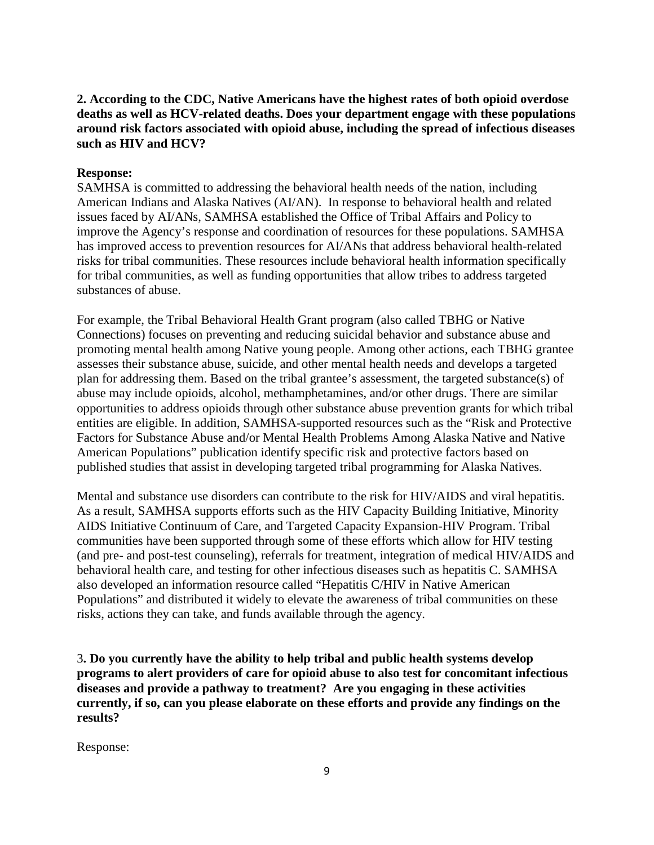# **2. According to the CDC, Native Americans have the highest rates of both opioid overdose deaths as well as HCV-related deaths. Does your department engage with these populations around risk factors associated with opioid abuse, including the spread of infectious diseases such as HIV and HCV?**

## **Response:**

SAMHSA is committed to addressing the behavioral health needs of the nation, including American Indians and Alaska Natives (AI/AN). In response to behavioral health and related issues faced by AI/ANs, SAMHSA established the Office of Tribal Affairs and Policy to improve the Agency's response and coordination of resources for these populations. SAMHSA has improved access to prevention resources for AI/ANs that address behavioral health-related risks for tribal communities. These resources include behavioral health information specifically for tribal communities, as well as funding opportunities that allow tribes to address targeted substances of abuse.

For example, the Tribal Behavioral Health Grant program (also called TBHG or Native Connections) focuses on preventing and reducing suicidal behavior and substance abuse and promoting mental health among Native young people. Among other actions, each TBHG grantee assesses their substance abuse, suicide, and other mental health needs and develops a targeted plan for addressing them. Based on the tribal grantee's assessment, the targeted substance(s) of abuse may include opioids, alcohol, methamphetamines, and/or other drugs. There are similar opportunities to address opioids through other substance abuse prevention grants for which tribal entities are eligible. In addition, SAMHSA-supported resources such as the "Risk and Protective Factors for Substance Abuse and/or Mental Health Problems Among Alaska Native and Native American Populations" publication identify specific risk and protective factors based on published studies that assist in developing targeted tribal programming for Alaska Natives.

Mental and substance use disorders can contribute to the risk for HIV/AIDS and viral hepatitis. As a result, SAMHSA supports efforts such as the HIV Capacity Building Initiative, Minority AIDS Initiative Continuum of Care, and Targeted Capacity Expansion-HIV Program. Tribal communities have been supported through some of these efforts which allow for HIV testing (and pre- and post-test counseling), referrals for treatment, integration of medical HIV/AIDS and behavioral health care, and testing for other infectious diseases such as hepatitis C. SAMHSA also developed an information resource called "Hepatitis C/HIV in Native American Populations" and distributed it widely to elevate the awareness of tribal communities on these risks, actions they can take, and funds available through the agency.

3**. Do you currently have the ability to help tribal and public health systems develop programs to alert providers of care for opioid abuse to also test for concomitant infectious diseases and provide a pathway to treatment? Are you engaging in these activities currently, if so, can you please elaborate on these efforts and provide any findings on the results?** 

Response: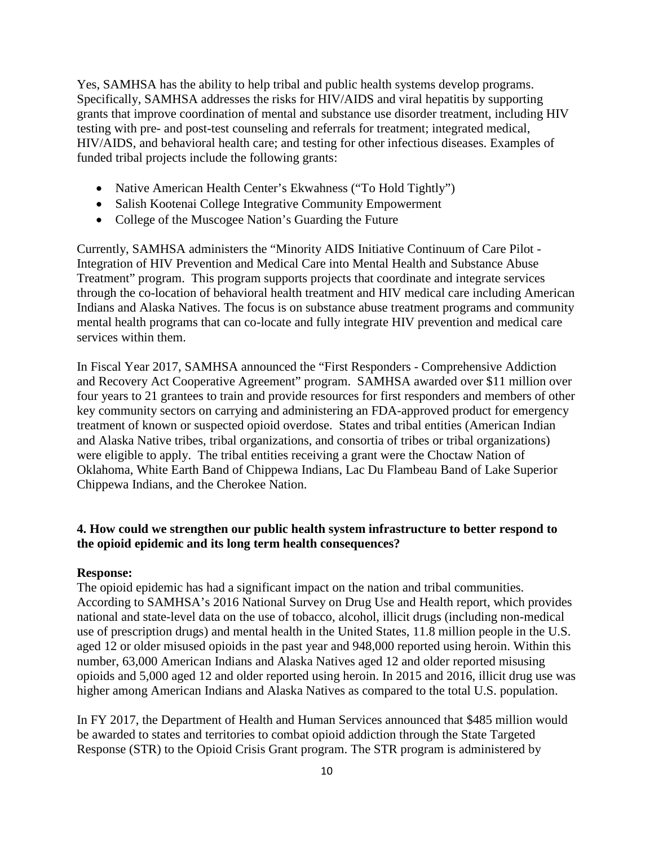Yes, SAMHSA has the ability to help tribal and public health systems develop programs. Specifically, SAMHSA addresses the risks for HIV/AIDS and viral hepatitis by supporting grants that improve coordination of mental and substance use disorder treatment, including HIV testing with pre- and post-test counseling and referrals for treatment; integrated medical, HIV/AIDS, and behavioral health care; and testing for other infectious diseases. Examples of funded tribal projects include the following grants:

- Native American Health Center's Ekwahness ("To Hold Tightly")
- Salish Kootenai College Integrative Community Empowerment
- College of the Muscogee Nation's Guarding the Future

Currently, SAMHSA administers the "Minority AIDS Initiative Continuum of Care Pilot - Integration of HIV Prevention and Medical Care into Mental Health and Substance Abuse Treatment" program. This program supports projects that coordinate and integrate services through the co-location of behavioral health treatment and HIV medical care including American Indians and Alaska Natives. The focus is on substance abuse treatment programs and community mental health programs that can co-locate and fully integrate HIV prevention and medical care services within them.

In Fiscal Year 2017, SAMHSA announced the "First Responders - Comprehensive Addiction and Recovery Act Cooperative Agreement" program. SAMHSA awarded over \$11 million over four years to 21 grantees to train and provide resources for first responders and members of other key community sectors on carrying and administering an FDA-approved product for emergency treatment of known or suspected opioid overdose. States and tribal entities (American Indian and Alaska Native tribes, tribal organizations, and consortia of tribes or tribal organizations) were eligible to apply. The tribal entities receiving a grant were the Choctaw Nation of Oklahoma, White Earth Band of Chippewa Indians, Lac Du Flambeau Band of Lake Superior Chippewa Indians, and the Cherokee Nation.

## **4. How could we strengthen our public health system infrastructure to better respond to the opioid epidemic and its long term health consequences?**

#### **Response:**

The opioid epidemic has had a significant impact on the nation and tribal communities. According to SAMHSA's 2016 National Survey on Drug Use and Health report, which provides national and state-level data on the use of tobacco, alcohol, illicit drugs (including non-medical use of prescription drugs) and mental health in the United States, 11.8 million people in the U.S. aged 12 or older misused opioids in the past year and 948,000 reported using heroin. Within this number, 63,000 American Indians and Alaska Natives aged 12 and older reported misusing opioids and 5,000 aged 12 and older reported using heroin. In 2015 and 2016, illicit drug use was higher among American Indians and Alaska Natives as compared to the total U.S. population.

In FY 2017, the Department of Health and Human Services announced that \$485 million would be awarded to states and territories to combat opioid addiction through the State Targeted Response (STR) to the Opioid Crisis Grant program. The STR program is administered by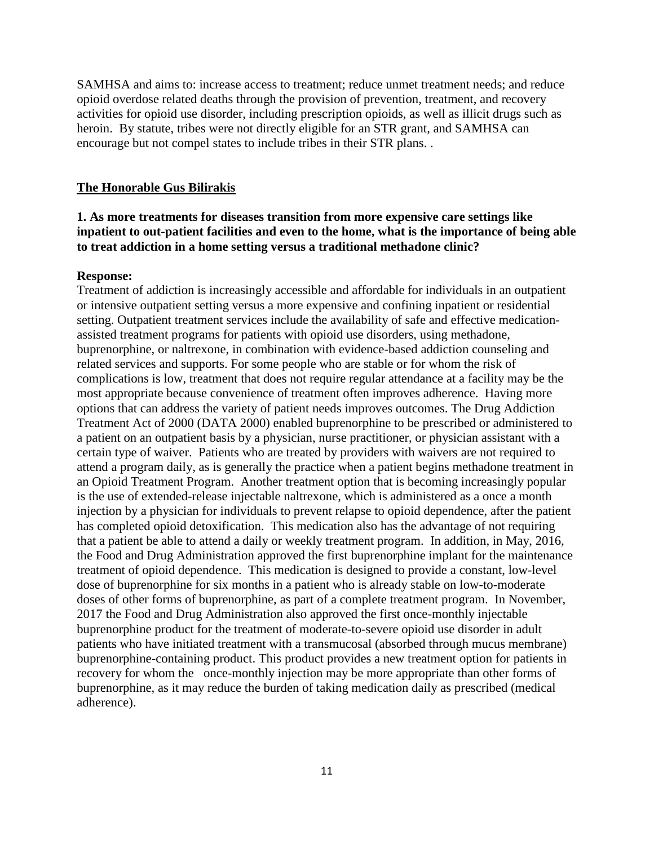SAMHSA and aims to: increase access to treatment; reduce unmet treatment needs; and reduce opioid overdose related deaths through the provision of prevention, treatment, and recovery activities for opioid use disorder, including prescription opioids, as well as illicit drugs such as heroin. By statute, tribes were not directly eligible for an STR grant, and SAMHSA can encourage but not compel states to include tribes in their STR plans. .

### **The Honorable Gus Bilirakis**

# **1. As more treatments for diseases transition from more expensive care settings like inpatient to out-patient facilities and even to the home, what is the importance of being able to treat addiction in a home setting versus a traditional methadone clinic?**

### **Response:**

Treatment of addiction is increasingly accessible and affordable for individuals in an outpatient or intensive outpatient setting versus a more expensive and confining inpatient or residential setting. Outpatient treatment services include the availability of safe and effective medicationassisted treatment programs for patients with opioid use disorders, using methadone, buprenorphine, or naltrexone, in combination with evidence-based addiction counseling and related services and supports. For some people who are stable or for whom the risk of complications is low, treatment that does not require regular attendance at a facility may be the most appropriate because convenience of treatment often improves adherence. Having more options that can address the variety of patient needs improves outcomes. The Drug Addiction Treatment Act of 2000 (DATA 2000) enabled buprenorphine to be prescribed or administered to a patient on an outpatient basis by a physician, nurse practitioner, or physician assistant with a certain type of waiver. Patients who are treated by providers with waivers are not required to attend a program daily, as is generally the practice when a patient begins methadone treatment in an Opioid Treatment Program. Another treatment option that is becoming increasingly popular is the use of extended-release injectable naltrexone, which is administered as a once a month injection by a physician for individuals to prevent relapse to opioid dependence, after the patient has completed opioid detoxification. This medication also has the advantage of not requiring that a patient be able to attend a daily or weekly treatment program. In addition, in May, 2016, the Food and Drug Administration approved the first buprenorphine implant for the maintenance treatment of opioid dependence. This medication is designed to provide a constant, low-level dose of buprenorphine for six months in a patient who is already stable on low-to-moderate doses of other forms of buprenorphine, as part of a complete treatment program. In November, 2017 the Food and Drug Administration also approved the first once-monthly injectable buprenorphine product for the treatment of moderate-to-severe opioid use disorder in adult patients who have initiated treatment with a transmucosal (absorbed through mucus membrane) buprenorphine-containing product. This product provides a new treatment option for patients in recovery for whom the once-monthly injection may be more appropriate than other forms of buprenorphine, as it may reduce the burden of taking medication daily as prescribed (medical adherence).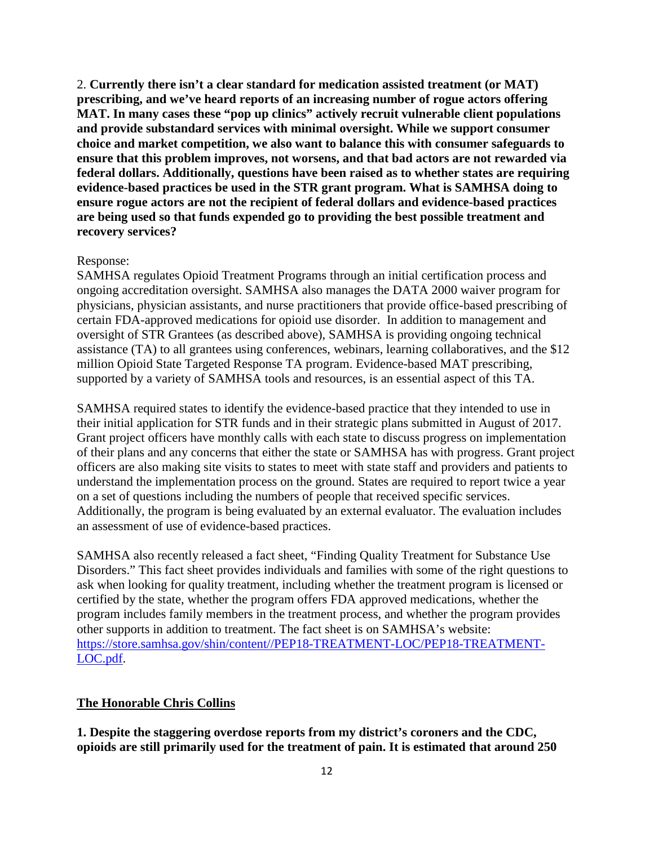2. **Currently there isn't a clear standard for medication assisted treatment (or MAT) prescribing, and we've heard reports of an increasing number of rogue actors offering MAT. In many cases these "pop up clinics" actively recruit vulnerable client populations and provide substandard services with minimal oversight. While we support consumer choice and market competition, we also want to balance this with consumer safeguards to ensure that this problem improves, not worsens, and that bad actors are not rewarded via federal dollars. Additionally, questions have been raised as to whether states are requiring evidence-based practices be used in the STR grant program. What is SAMHSA doing to ensure rogue actors are not the recipient of federal dollars and evidence-based practices are being used so that funds expended go to providing the best possible treatment and recovery services?** 

### Response:

SAMHSA regulates Opioid Treatment Programs through an initial certification process and ongoing accreditation oversight. SAMHSA also manages the DATA 2000 waiver program for physicians, physician assistants, and nurse practitioners that provide office-based prescribing of certain FDA-approved medications for opioid use disorder. In addition to management and oversight of STR Grantees (as described above), SAMHSA is providing ongoing technical assistance (TA) to all grantees using conferences, webinars, learning collaboratives, and the \$12 million Opioid State Targeted Response TA program. Evidence-based MAT prescribing, supported by a variety of SAMHSA tools and resources, is an essential aspect of this TA.

SAMHSA required states to identify the evidence-based practice that they intended to use in their initial application for STR funds and in their strategic plans submitted in August of 2017. Grant project officers have monthly calls with each state to discuss progress on implementation of their plans and any concerns that either the state or SAMHSA has with progress. Grant project officers are also making site visits to states to meet with state staff and providers and patients to understand the implementation process on the ground. States are required to report twice a year on a set of questions including the numbers of people that received specific services. Additionally, the program is being evaluated by an external evaluator. The evaluation includes an assessment of use of evidence-based practices.

SAMHSA also recently released a fact sheet, "Finding Quality Treatment for Substance Use Disorders." This fact sheet provides individuals and families with some of the right questions to ask when looking for quality treatment, including whether the treatment program is licensed or certified by the state, whether the program offers FDA approved medications, whether the program includes family members in the treatment process, and whether the program provides other supports in addition to treatment. The fact sheet is on SAMHSA's website: [https://store.samhsa.gov/shin/content//PEP18-TREATMENT-LOC/PEP18-TREATMENT-](https://store.samhsa.gov/shin/content/PEP18-TREATMENT-LOC/PEP18-TREATMENT-LOC.pdf)[LOC.pdf.](https://store.samhsa.gov/shin/content/PEP18-TREATMENT-LOC/PEP18-TREATMENT-LOC.pdf)

### **The Honorable Chris Collins**

**1. Despite the staggering overdose reports from my district's coroners and the CDC, opioids are still primarily used for the treatment of pain. It is estimated that around 250**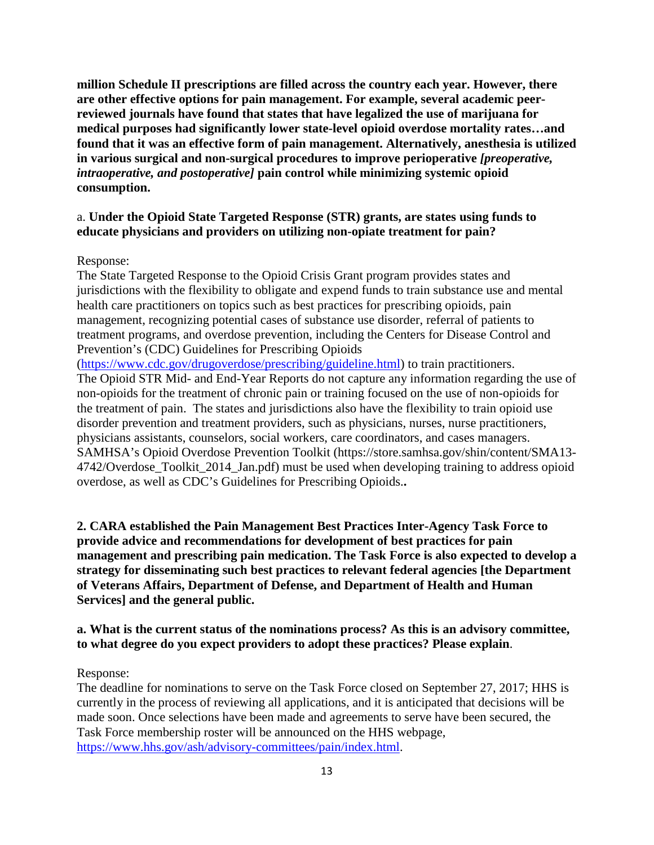**million Schedule II prescriptions are filled across the country each year. However, there are other effective options for pain management. For example, several academic peerreviewed journals have found that states that have legalized the use of marijuana for medical purposes had significantly lower state-level opioid overdose mortality rates…and found that it was an effective form of pain management. Alternatively, anesthesia is utilized in various surgical and non-surgical procedures to improve perioperative** *[preoperative, intraoperative, and postoperative]* **pain control while minimizing systemic opioid consumption.**

### a. **Under the Opioid State Targeted Response (STR) grants, are states using funds to educate physicians and providers on utilizing non-opiate treatment for pain?**

Response:

The State Targeted Response to the Opioid Crisis Grant program provides states and jurisdictions with the flexibility to obligate and expend funds to train substance use and mental health care practitioners on topics such as best practices for prescribing opioids, pain management, recognizing potential cases of substance use disorder, referral of patients to treatment programs, and overdose prevention, including the Centers for Disease Control and Prevention's (CDC) Guidelines for Prescribing Opioids

[\(https://www.cdc.gov/drugoverdose/prescribing/guideline.html\)](https://www.cdc.gov/drugoverdose/prescribing/guideline.html) to train practitioners. The Opioid STR Mid- and End-Year Reports do not capture any information regarding the use of non-opioids for the treatment of chronic pain or training focused on the use of non-opioids for the treatment of pain. The states and jurisdictions also have the flexibility to train opioid use disorder prevention and treatment providers, such as physicians, nurses, nurse practitioners, physicians assistants, counselors, social workers, care coordinators, and cases managers. SAMHSA's Opioid Overdose Prevention Toolkit (https://store.samhsa.gov/shin/content/SMA13- 4742/Overdose\_Toolkit\_2014\_Jan.pdf) must be used when developing training to address opioid overdose, as well as CDC's Guidelines for Prescribing Opioids.**.** 

**2. CARA established the Pain Management Best Practices Inter-Agency Task Force to provide advice and recommendations for development of best practices for pain management and prescribing pain medication. The Task Force is also expected to develop a strategy for disseminating such best practices to relevant federal agencies [the Department of Veterans Affairs, Department of Defense, and Department of Health and Human Services] and the general public.**

### **a. What is the current status of the nominations process? As this is an advisory committee, to what degree do you expect providers to adopt these practices? Please explain**.

Response:

The deadline for nominations to serve on the Task Force closed on September 27, 2017; HHS is currently in the process of reviewing all applications, and it is anticipated that decisions will be made soon. Once selections have been made and agreements to serve have been secured, the Task Force membership roster will be announced on the HHS webpage, [https://www.hhs.gov/ash/advisory-committees/pain/index.html.](https://www.hhs.gov/ash/advisory-committees/pain/index.html)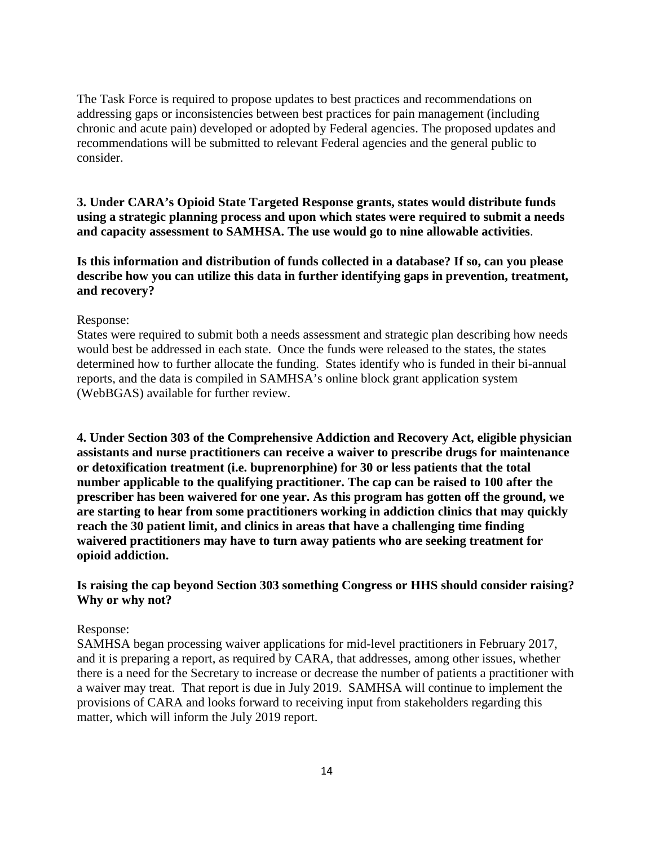The Task Force is required to propose updates to best practices and recommendations on addressing gaps or inconsistencies between best practices for pain management (including chronic and acute pain) developed or adopted by Federal agencies. The proposed updates and recommendations will be submitted to relevant Federal agencies and the general public to consider.

# **3. Under CARA's Opioid State Targeted Response grants, states would distribute funds using a strategic planning process and upon which states were required to submit a needs and capacity assessment to SAMHSA. The use would go to nine allowable activities**.

## **Is this information and distribution of funds collected in a database? If so, can you please describe how you can utilize this data in further identifying gaps in prevention, treatment, and recovery?**

### Response:

States were required to submit both a needs assessment and strategic plan describing how needs would best be addressed in each state. Once the funds were released to the states, the states determined how to further allocate the funding. States identify who is funded in their bi-annual reports, and the data is compiled in SAMHSA's online block grant application system (WebBGAS) available for further review.

**4. Under Section 303 of the Comprehensive Addiction and Recovery Act, eligible physician assistants and nurse practitioners can receive a waiver to prescribe drugs for maintenance or detoxification treatment (i.e. buprenorphine) for 30 or less patients that the total number applicable to the qualifying practitioner. The cap can be raised to 100 after the prescriber has been waivered for one year. As this program has gotten off the ground, we are starting to hear from some practitioners working in addiction clinics that may quickly reach the 30 patient limit, and clinics in areas that have a challenging time finding waivered practitioners may have to turn away patients who are seeking treatment for opioid addiction.**

## **Is raising the cap beyond Section 303 something Congress or HHS should consider raising? Why or why not?**

### Response:

SAMHSA began processing waiver applications for mid-level practitioners in February 2017, and it is preparing a report, as required by CARA, that addresses, among other issues, whether there is a need for the Secretary to increase or decrease the number of patients a practitioner with a waiver may treat. That report is due in July 2019. SAMHSA will continue to implement the provisions of CARA and looks forward to receiving input from stakeholders regarding this matter, which will inform the July 2019 report.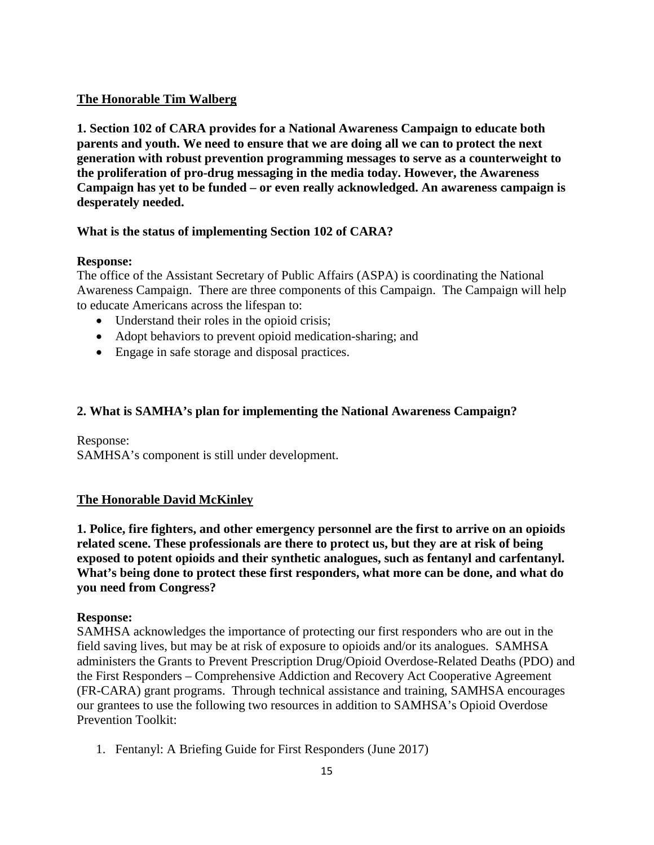# **The Honorable Tim Walberg**

**1. Section 102 of CARA provides for a National Awareness Campaign to educate both parents and youth. We need to ensure that we are doing all we can to protect the next generation with robust prevention programming messages to serve as a counterweight to the proliferation of pro-drug messaging in the media today. However, the Awareness Campaign has yet to be funded – or even really acknowledged. An awareness campaign is desperately needed.**

# **What is the status of implementing Section 102 of CARA?**

## **Response:**

The office of the Assistant Secretary of Public Affairs (ASPA) is coordinating the National Awareness Campaign. There are three components of this Campaign. The Campaign will help to educate Americans across the lifespan to:

- Understand their roles in the opioid crisis;
- Adopt behaviors to prevent opioid medication-sharing; and
- Engage in safe storage and disposal practices.

## **2. What is SAMHA's plan for implementing the National Awareness Campaign?**

Response: SAMHSA's component is still under development.

## **The Honorable David McKinley**

**1. Police, fire fighters, and other emergency personnel are the first to arrive on an opioids related scene. These professionals are there to protect us, but they are at risk of being exposed to potent opioids and their synthetic analogues, such as fentanyl and carfentanyl. What's being done to protect these first responders, what more can be done, and what do you need from Congress?**

## **Response:**

SAMHSA acknowledges the importance of protecting our first responders who are out in the field saving lives, but may be at risk of exposure to opioids and/or its analogues. SAMHSA administers the Grants to Prevent Prescription Drug/Opioid Overdose-Related Deaths (PDO) and the First Responders – Comprehensive Addiction and Recovery Act Cooperative Agreement (FR-CARA) grant programs. Through technical assistance and training, SAMHSA encourages our grantees to use the following two resources in addition to SAMHSA's Opioid Overdose Prevention Toolkit:

1. Fentanyl: A Briefing Guide for First Responders (June 2017)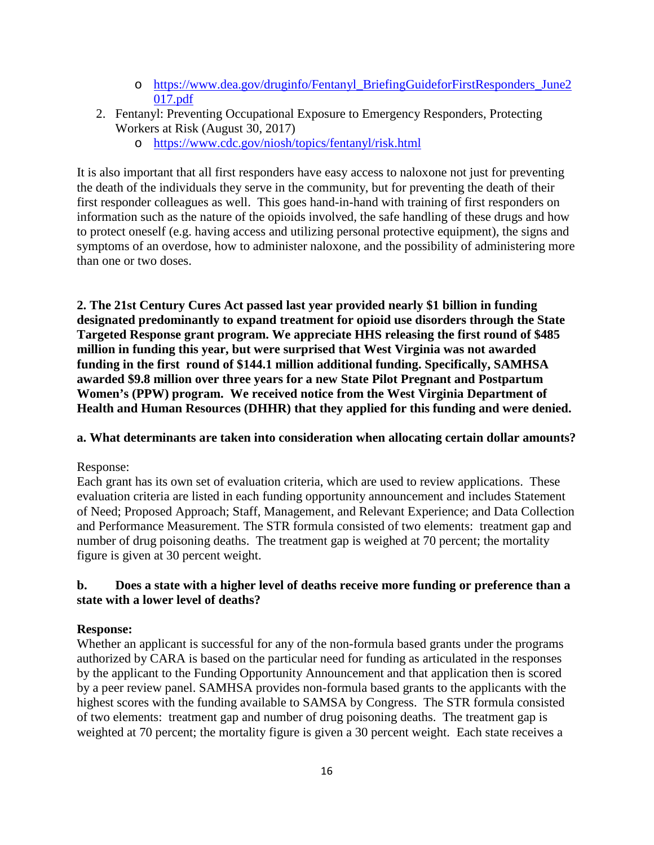- o [https://www.dea.gov/druginfo/Fentanyl\\_BriefingGuideforFirstResponders\\_June2](https://www.dea.gov/druginfo/Fentanyl_BriefingGuideforFirstResponders_June2017.pdf) [017.pdf](https://www.dea.gov/druginfo/Fentanyl_BriefingGuideforFirstResponders_June2017.pdf)
- 2. Fentanyl: Preventing Occupational Exposure to Emergency Responders, Protecting Workers at Risk (August 30, 2017)
	- o <https://www.cdc.gov/niosh/topics/fentanyl/risk.html>

It is also important that all first responders have easy access to naloxone not just for preventing the death of the individuals they serve in the community, but for preventing the death of their first responder colleagues as well. This goes hand-in-hand with training of first responders on information such as the nature of the opioids involved, the safe handling of these drugs and how to protect oneself (e.g. having access and utilizing personal protective equipment), the signs and symptoms of an overdose, how to administer naloxone, and the possibility of administering more than one or two doses.

**2. The 21st Century Cures Act passed last year provided nearly \$1 billion in funding designated predominantly to expand treatment for opioid use disorders through the State Targeted Response grant program. We appreciate HHS releasing the first round of \$485 million in funding this year, but were surprised that West Virginia was not awarded funding in the first round of \$144.1 million additional funding. Specifically, SAMHSA awarded \$9.8 million over three years for a new State Pilot Pregnant and Postpartum Women's (PPW) program. We received notice from the West Virginia Department of Health and Human Resources (DHHR) that they applied for this funding and were denied.**

## **a. What determinants are taken into consideration when allocating certain dollar amounts?**

## Response:

Each grant has its own set of evaluation criteria, which are used to review applications. These evaluation criteria are listed in each funding opportunity announcement and includes Statement of Need; Proposed Approach; Staff, Management, and Relevant Experience; and Data Collection and Performance Measurement. The STR formula consisted of two elements: treatment gap and number of drug poisoning deaths. The treatment gap is weighed at 70 percent; the mortality figure is given at 30 percent weight.

# **b. Does a state with a higher level of deaths receive more funding or preference than a state with a lower level of deaths?**

## **Response:**

Whether an applicant is successful for any of the non-formula based grants under the programs authorized by CARA is based on the particular need for funding as articulated in the responses by the applicant to the Funding Opportunity Announcement and that application then is scored by a peer review panel. SAMHSA provides non-formula based grants to the applicants with the highest scores with the funding available to SAMSA by Congress. The STR formula consisted of two elements: treatment gap and number of drug poisoning deaths. The treatment gap is weighted at 70 percent; the mortality figure is given a 30 percent weight. Each state receives a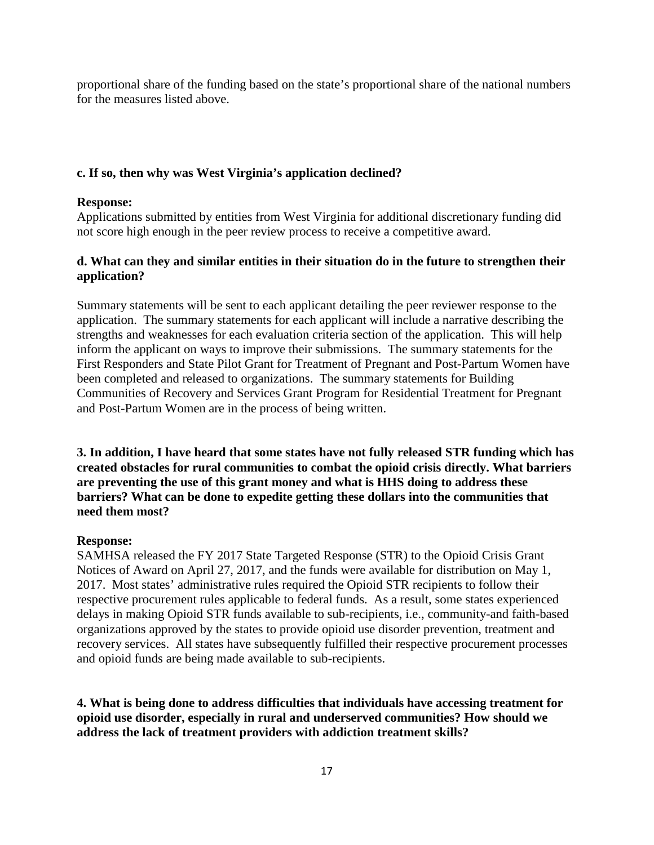proportional share of the funding based on the state's proportional share of the national numbers for the measures listed above.

### **c. If so, then why was West Virginia's application declined?**

### **Response:**

Applications submitted by entities from West Virginia for additional discretionary funding did not score high enough in the peer review process to receive a competitive award.

### **d. What can they and similar entities in their situation do in the future to strengthen their application?**

Summary statements will be sent to each applicant detailing the peer reviewer response to the application. The summary statements for each applicant will include a narrative describing the strengths and weaknesses for each evaluation criteria section of the application. This will help inform the applicant on ways to improve their submissions. The summary statements for the First Responders and State Pilot Grant for Treatment of Pregnant and Post-Partum Women have been completed and released to organizations. The summary statements for Building Communities of Recovery and Services Grant Program for Residential Treatment for Pregnant and Post-Partum Women are in the process of being written.

**3. In addition, I have heard that some states have not fully released STR funding which has created obstacles for rural communities to combat the opioid crisis directly. What barriers are preventing the use of this grant money and what is HHS doing to address these barriers? What can be done to expedite getting these dollars into the communities that need them most?**

### **Response:**

SAMHSA released the FY 2017 State Targeted Response (STR) to the Opioid Crisis Grant Notices of Award on April 27, 2017, and the funds were available for distribution on May 1, 2017. Most states' administrative rules required the Opioid STR recipients to follow their respective procurement rules applicable to federal funds. As a result, some states experienced delays in making Opioid STR funds available to sub-recipients, i.e., community-and faith-based organizations approved by the states to provide opioid use disorder prevention, treatment and recovery services. All states have subsequently fulfilled their respective procurement processes and opioid funds are being made available to sub-recipients.

**4. What is being done to address difficulties that individuals have accessing treatment for opioid use disorder, especially in rural and underserved communities? How should we address the lack of treatment providers with addiction treatment skills?**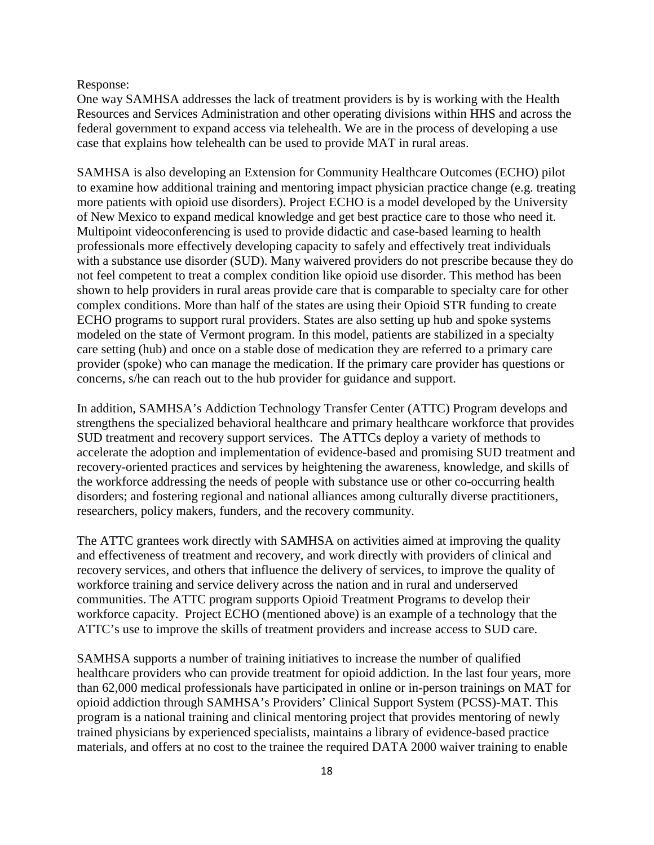### Response:

One way SAMHSA addresses the lack of treatment providers is by is working with the Health Resources and Services Administration and other operating divisions within HHS and across the federal government to expand access via telehealth. We are in the process of developing a use case that explains how telehealth can be used to provide MAT in rural areas.

SAMHSA is also developing an Extension for Community Healthcare Outcomes (ECHO) pilot to examine how additional training and mentoring impact physician practice change (e.g. treating more patients with opioid use disorders). Project ECHO is a model developed by the University of New Mexico to expand medical knowledge and get best practice care to those who need it. Multipoint videoconferencing is used to provide didactic and case-based learning to health professionals more effectively developing capacity to safely and effectively treat individuals with a substance use disorder (SUD). Many waivered providers do not prescribe because they do not feel competent to treat a complex condition like opioid use disorder. This method has been shown to help providers in rural areas provide care that is comparable to specialty care for other complex conditions. More than half of the states are using their Opioid STR funding to create ECHO programs to support rural providers. States are also setting up hub and spoke systems modeled on the state of Vermont program. In this model, patients are stabilized in a specialty care setting (hub) and once on a stable dose of medication they are referred to a primary care provider (spoke) who can manage the medication. If the primary care provider has questions or concerns, s/he can reach out to the hub provider for guidance and support.

In addition, SAMHSA's Addiction Technology Transfer Center (ATTC) Program develops and strengthens the specialized behavioral healthcare and primary healthcare workforce that provides SUD treatment and recovery support services. The ATTCs deploy a variety of methods to accelerate the adoption and implementation of evidence-based and promising SUD treatment and recovery-oriented practices and services by heightening the awareness, knowledge, and skills of the workforce addressing the needs of people with substance use or other co-occurring health disorders; and fostering regional and national alliances among culturally diverse practitioners, researchers, policy makers, funders, and the recovery community.

The ATTC grantees work directly with SAMHSA on activities aimed at improving the quality and effectiveness of treatment and recovery, and work directly with providers of clinical and recovery services, and others that influence the delivery of services, to improve the quality of workforce training and service delivery across the nation and in rural and underserved communities. The ATTC program supports Opioid Treatment Programs to develop their workforce capacity. Project ECHO (mentioned above) is an example of a technology that the ATTC's use to improve the skills of treatment providers and increase access to SUD care.

SAMHSA supports a number of training initiatives to increase the number of qualified healthcare providers who can provide treatment for opioid addiction. In the last four years, more than 62,000 medical professionals have participated in online or in-person trainings on MAT for opioid addiction through SAMHSA's Providers' Clinical Support System (PCSS)-MAT. This program is a national training and clinical mentoring project that provides mentoring of newly trained physicians by experienced specialists, maintains a library of evidence-based practice materials, and offers at no cost to the trainee the required DATA 2000 waiver training to enable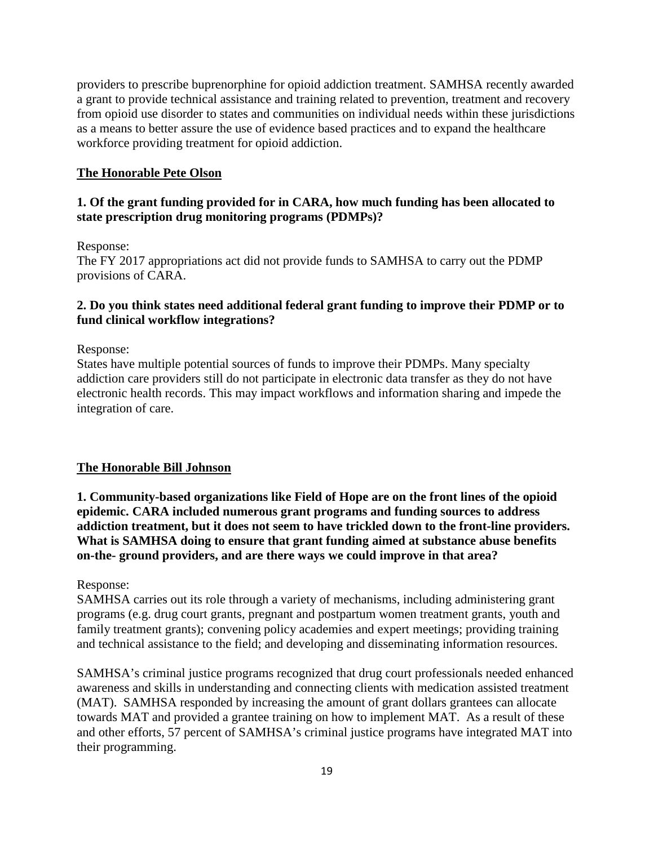providers to prescribe buprenorphine for opioid addiction treatment. SAMHSA recently awarded a grant to provide technical assistance and training related to prevention, treatment and recovery from opioid use disorder to states and communities on individual needs within these jurisdictions as a means to better assure the use of evidence based practices and to expand the healthcare workforce providing treatment for opioid addiction.

### **The Honorable Pete Olson**

### **1. Of the grant funding provided for in CARA, how much funding has been allocated to state prescription drug monitoring programs (PDMPs)?**

Response:

The FY 2017 appropriations act did not provide funds to SAMHSA to carry out the PDMP provisions of CARA.

## **2. Do you think states need additional federal grant funding to improve their PDMP or to fund clinical workflow integrations?**

Response:

States have multiple potential sources of funds to improve their PDMPs. Many specialty addiction care providers still do not participate in electronic data transfer as they do not have electronic health records. This may impact workflows and information sharing and impede the integration of care.

#### **The Honorable Bill Johnson**

**1. Community-based organizations like Field of Hope are on the front lines of the opioid epidemic. CARA included numerous grant programs and funding sources to address addiction treatment, but it does not seem to have trickled down to the front-line providers. What is SAMHSA doing to ensure that grant funding aimed at substance abuse benefits on-the- ground providers, and are there ways we could improve in that area?**

Response:

SAMHSA carries out its role through a variety of mechanisms, including administering grant programs (e.g. drug court grants, pregnant and postpartum women treatment grants, youth and family treatment grants); convening policy academies and expert meetings; providing training and technical assistance to the field; and developing and disseminating information resources.

SAMHSA's criminal justice programs recognized that drug court professionals needed enhanced awareness and skills in understanding and connecting clients with medication assisted treatment (MAT). SAMHSA responded by increasing the amount of grant dollars grantees can allocate towards MAT and provided a grantee training on how to implement MAT. As a result of these and other efforts, 57 percent of SAMHSA's criminal justice programs have integrated MAT into their programming.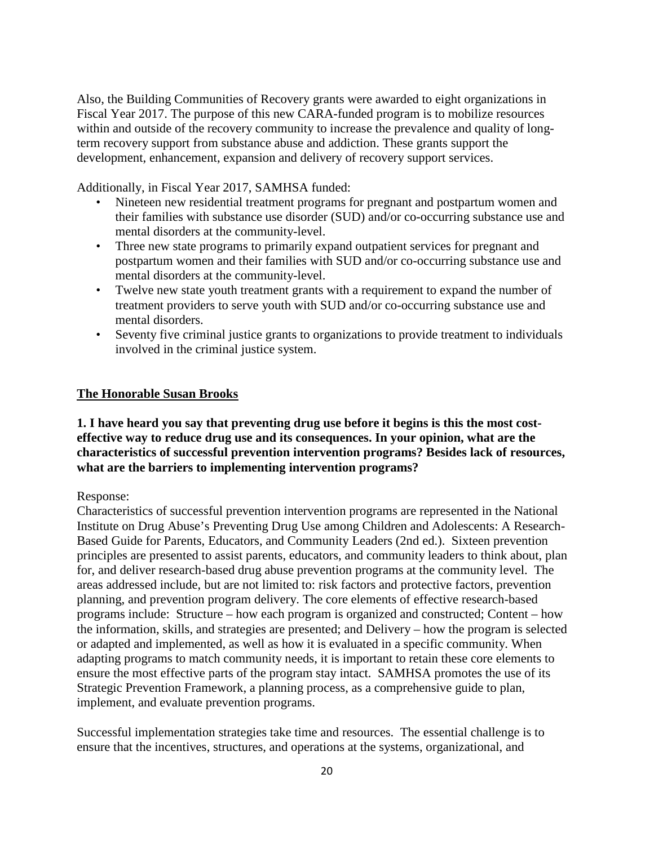Also, the Building Communities of Recovery grants were awarded to eight organizations in Fiscal Year 2017. The purpose of this new CARA-funded program is to mobilize resources within and outside of the recovery community to increase the prevalence and quality of longterm recovery support from substance abuse and addiction. These grants support the development, enhancement, expansion and delivery of recovery support services.

Additionally, in Fiscal Year 2017, SAMHSA funded:

- Nineteen new residential treatment programs for pregnant and postpartum women and their families with substance use disorder (SUD) and/or co-occurring substance use and mental disorders at the community-level.
- Three new state programs to primarily expand outpatient services for pregnant and postpartum women and their families with SUD and/or co-occurring substance use and mental disorders at the community-level.
- Twelve new state youth treatment grants with a requirement to expand the number of treatment providers to serve youth with SUD and/or co-occurring substance use and mental disorders.
- Seventy five criminal justice grants to organizations to provide treatment to individuals involved in the criminal justice system.

### **The Honorable Susan Brooks**

## **1. I have heard you say that preventing drug use before it begins is this the most costeffective way to reduce drug use and its consequences. In your opinion, what are the characteristics of successful prevention intervention programs? Besides lack of resources, what are the barriers to implementing intervention programs?**

Response:

Characteristics of successful prevention intervention programs are represented in the National Institute on Drug Abuse's Preventing Drug Use among Children and Adolescents: A Research-Based Guide for Parents, Educators, and Community Leaders (2nd ed.). Sixteen prevention principles are presented to assist parents, educators, and community leaders to think about, plan for, and deliver research-based drug abuse prevention programs at the community level. The areas addressed include, but are not limited to: risk factors and protective factors, prevention planning, and prevention program delivery. The core elements of effective research-based programs include: Structure – how each program is organized and constructed; Content – how the information, skills, and strategies are presented; and Delivery – how the program is selected or adapted and implemented, as well as how it is evaluated in a specific community. When adapting programs to match community needs, it is important to retain these core elements to ensure the most effective parts of the program stay intact. SAMHSA promotes the use of its Strategic Prevention Framework, a planning process, as a comprehensive guide to plan, implement, and evaluate prevention programs.

Successful implementation strategies take time and resources. The essential challenge is to ensure that the incentives, structures, and operations at the systems, organizational, and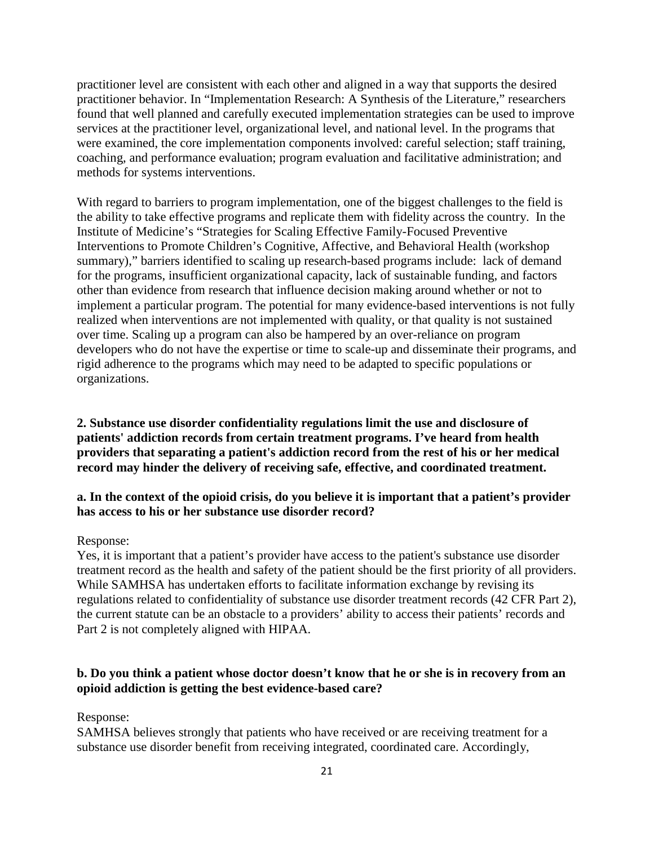practitioner level are consistent with each other and aligned in a way that supports the desired practitioner behavior. In "Implementation Research: A Synthesis of the Literature," researchers found that well planned and carefully executed implementation strategies can be used to improve services at the practitioner level, organizational level, and national level. In the programs that were examined, the core implementation components involved: careful selection; staff training, coaching, and performance evaluation; program evaluation and facilitative administration; and methods for systems interventions.

With regard to barriers to program implementation, one of the biggest challenges to the field is the ability to take effective programs and replicate them with fidelity across the country. In the Institute of Medicine's "Strategies for Scaling Effective Family-Focused Preventive Interventions to Promote Children's Cognitive, Affective, and Behavioral Health (workshop summary)," barriers identified to scaling up research-based programs include: lack of demand for the programs, insufficient organizational capacity, lack of sustainable funding, and factors other than evidence from research that influence decision making around whether or not to implement a particular program. The potential for many evidence-based interventions is not fully realized when interventions are not implemented with quality, or that quality is not sustained over time. Scaling up a program can also be hampered by an over-reliance on program developers who do not have the expertise or time to scale-up and disseminate their programs, and rigid adherence to the programs which may need to be adapted to specific populations or organizations.

**2. Substance use disorder confidentiality regulations limit the use and disclosure of patients' addiction records from certain treatment programs. I've heard from health providers that separating a patient's addiction record from the rest of his or her medical record may hinder the delivery of receiving safe, effective, and coordinated treatment.**

### **a. In the context of the opioid crisis, do you believe it is important that a patient's provider has access to his or her substance use disorder record?**

#### Response:

Yes, it is important that a patient's provider have access to the patient's substance use disorder treatment record as the health and safety of the patient should be the first priority of all providers. While SAMHSA has undertaken efforts to facilitate information exchange by revising its regulations related to confidentiality of substance use disorder treatment records (42 CFR Part 2), the current statute can be an obstacle to a providers' ability to access their patients' records and Part 2 is not completely aligned with HIPAA.

### **b. Do you think a patient whose doctor doesn't know that he or she is in recovery from an opioid addiction is getting the best evidence-based care?**

Response:

SAMHSA believes strongly that patients who have received or are receiving treatment for a substance use disorder benefit from receiving integrated, coordinated care. Accordingly,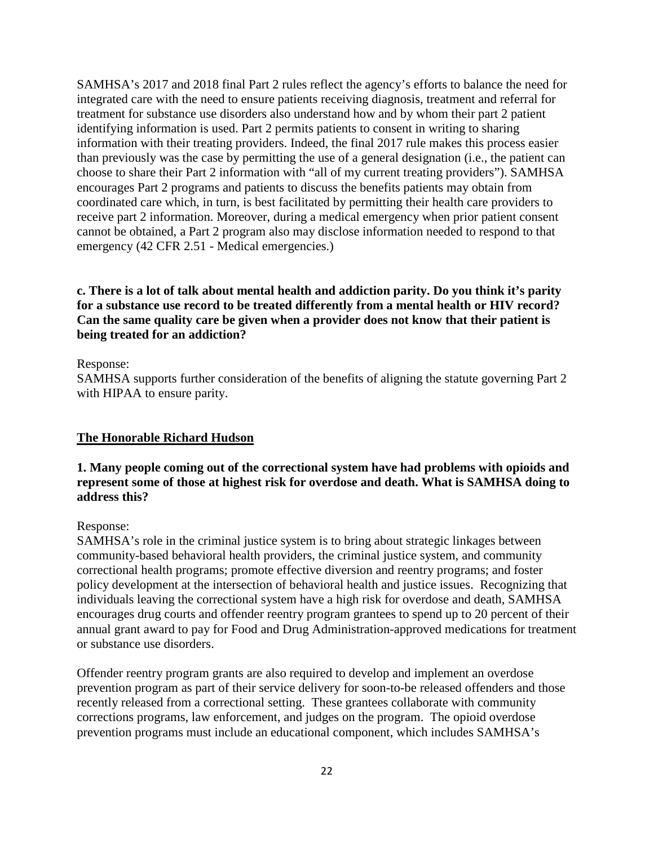SAMHSA's 2017 and 2018 final Part 2 rules reflect the agency's efforts to balance the need for integrated care with the need to ensure patients receiving diagnosis, treatment and referral for treatment for substance use disorders also understand how and by whom their part 2 patient identifying information is used. Part 2 permits patients to consent in writing to sharing information with their treating providers. Indeed, the final 2017 rule makes this process easier than previously was the case by permitting the use of a general designation (i.e., the patient can choose to share their Part 2 information with "all of my current treating providers"). SAMHSA encourages Part 2 programs and patients to discuss the benefits patients may obtain from coordinated care which, in turn, is best facilitated by permitting their health care providers to receive part 2 information. Moreover, during a medical emergency when prior patient consent cannot be obtained, a Part 2 program also may disclose information needed to respond to that emergency (42 CFR 2.51 - Medical emergencies.)

# **c. There is a lot of talk about mental health and addiction parity. Do you think it's parity for a substance use record to be treated differently from a mental health or HIV record? Can the same quality care be given when a provider does not know that their patient is being treated for an addiction?**

### Response:

SAMHSA supports further consideration of the benefits of aligning the statute governing Part 2 with HIPAA to ensure parity.

### **The Honorable Richard Hudson**

### **1. Many people coming out of the correctional system have had problems with opioids and represent some of those at highest risk for overdose and death. What is SAMHSA doing to address this?**

### Response:

SAMHSA's role in the criminal justice system is to bring about strategic linkages between community-based behavioral health providers, the criminal justice system, and community correctional health programs; promote effective diversion and reentry programs; and foster policy development at the intersection of behavioral health and justice issues. Recognizing that individuals leaving the correctional system have a high risk for overdose and death, SAMHSA encourages drug courts and offender reentry program grantees to spend up to 20 percent of their annual grant award to pay for Food and Drug Administration-approved medications for treatment or substance use disorders.

Offender reentry program grants are also required to develop and implement an overdose prevention program as part of their service delivery for soon-to-be released offenders and those recently released from a correctional setting. These grantees collaborate with community corrections programs, law enforcement, and judges on the program. The opioid overdose prevention programs must include an educational component, which includes SAMHSA's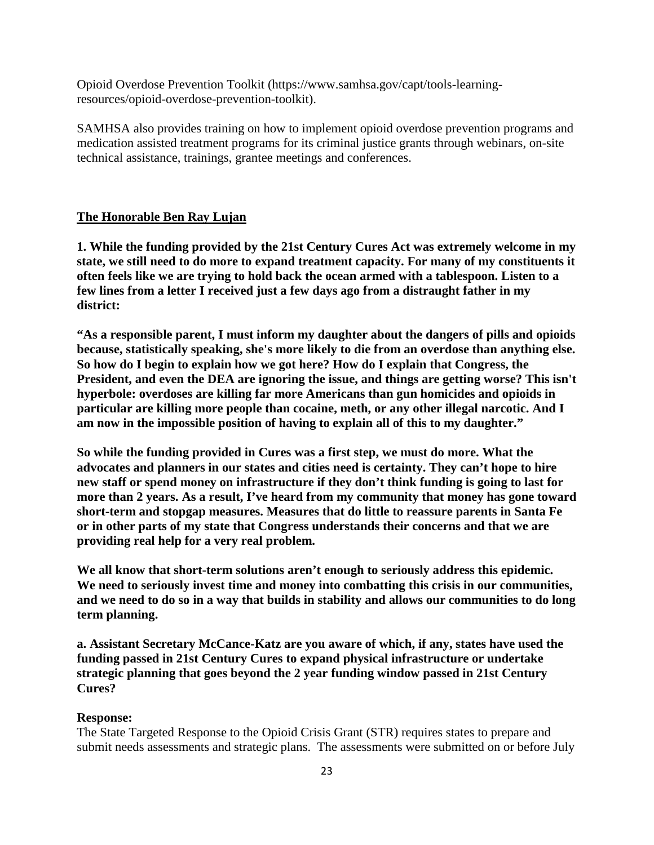Opioid Overdose Prevention Toolkit (https://www.samhsa.gov/capt/tools-learningresources/opioid-overdose-prevention-toolkit).

SAMHSA also provides training on how to implement opioid overdose prevention programs and medication assisted treatment programs for its criminal justice grants through webinars, on-site technical assistance, trainings, grantee meetings and conferences.

### **The Honorable Ben Ray Lujan**

**1. While the funding provided by the 21st Century Cures Act was extremely welcome in my state, we still need to do more to expand treatment capacity. For many of my constituents it often feels like we are trying to hold back the ocean armed with a tablespoon. Listen to a few lines from a letter I received just a few days ago from a distraught father in my district:**

**"As a responsible parent, I must inform my daughter about the dangers of pills and opioids because, statistically speaking, she's more likely to die from an overdose than anything else. So how do I begin to explain how we got here? How do I explain that Congress, the President, and even the DEA are ignoring the issue, and things are getting worse? This isn't hyperbole: overdoses are killing far more Americans than gun homicides and opioids in particular are killing more people than cocaine, meth, or any other illegal narcotic. And I am now in the impossible position of having to explain all of this to my daughter."**

**So while the funding provided in Cures was a first step, we must do more. What the advocates and planners in our states and cities need is certainty. They can't hope to hire new staff or spend money on infrastructure if they don't think funding is going to last for more than 2 years. As a result, I've heard from my community that money has gone toward short-term and stopgap measures. Measures that do little to reassure parents in Santa Fe or in other parts of my state that Congress understands their concerns and that we are providing real help for a very real problem.**

**We all know that short-term solutions aren't enough to seriously address this epidemic. We need to seriously invest time and money into combatting this crisis in our communities, and we need to do so in a way that builds in stability and allows our communities to do long term planning.**

**a. Assistant Secretary McCance-Katz are you aware of which, if any, states have used the funding passed in 21st Century Cures to expand physical infrastructure or undertake strategic planning that goes beyond the 2 year funding window passed in 21st Century Cures?**

#### **Response:**

The State Targeted Response to the Opioid Crisis Grant (STR) requires states to prepare and submit needs assessments and strategic plans. The assessments were submitted on or before July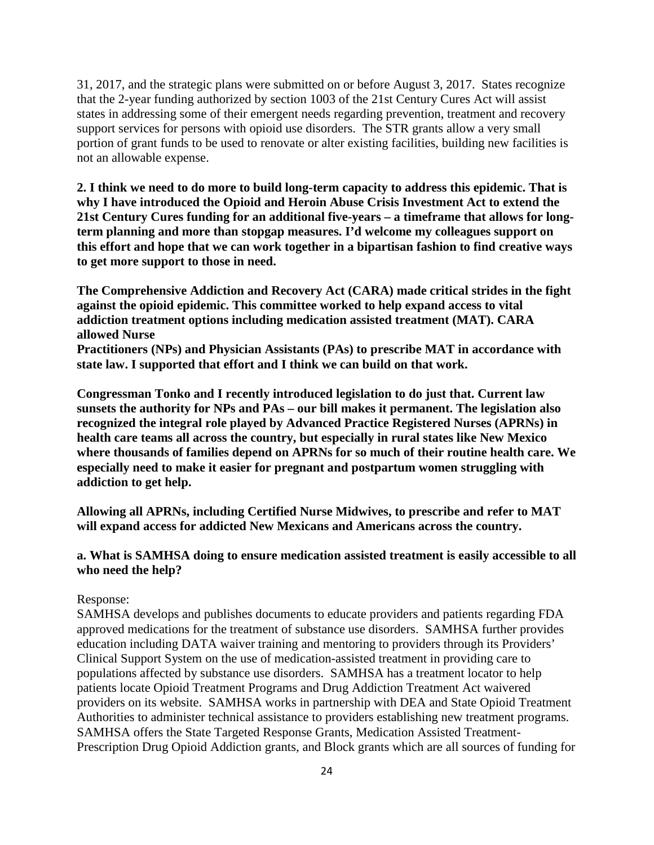31, 2017, and the strategic plans were submitted on or before August 3, 2017. States recognize that the 2-year funding authorized by section 1003 of the 21st Century Cures Act will assist states in addressing some of their emergent needs regarding prevention, treatment and recovery support services for persons with opioid use disorders. The STR grants allow a very small portion of grant funds to be used to renovate or alter existing facilities, building new facilities is not an allowable expense.

**2. I think we need to do more to build long-term capacity to address this epidemic. That is why I have introduced the Opioid and Heroin Abuse Crisis Investment Act to extend the 21st Century Cures funding for an additional five-years – a timeframe that allows for longterm planning and more than stopgap measures. I'd welcome my colleagues support on this effort and hope that we can work together in a bipartisan fashion to find creative ways to get more support to those in need.**

**The Comprehensive Addiction and Recovery Act (CARA) made critical strides in the fight against the opioid epidemic. This committee worked to help expand access to vital addiction treatment options including medication assisted treatment (MAT). CARA allowed Nurse**

**Practitioners (NPs) and Physician Assistants (PAs) to prescribe MAT in accordance with state law. I supported that effort and I think we can build on that work.**

**Congressman Tonko and I recently introduced legislation to do just that. Current law sunsets the authority for NPs and PAs – our bill makes it permanent. The legislation also recognized the integral role played by Advanced Practice Registered Nurses (APRNs) in health care teams all across the country, but especially in rural states like New Mexico where thousands of families depend on APRNs for so much of their routine health care. We especially need to make it easier for pregnant and postpartum women struggling with addiction to get help.**

**Allowing all APRNs, including Certified Nurse Midwives, to prescribe and refer to MAT will expand access for addicted New Mexicans and Americans across the country.**

## **a. What is SAMHSA doing to ensure medication assisted treatment is easily accessible to all who need the help?**

### Response:

SAMHSA develops and publishes documents to educate providers and patients regarding FDA approved medications for the treatment of substance use disorders. SAMHSA further provides education including DATA waiver training and mentoring to providers through its Providers' Clinical Support System on the use of medication-assisted treatment in providing care to populations affected by substance use disorders. SAMHSA has a treatment locator to help patients locate Opioid Treatment Programs and Drug Addiction Treatment Act waivered providers on its website. SAMHSA works in partnership with DEA and State Opioid Treatment Authorities to administer technical assistance to providers establishing new treatment programs. SAMHSA offers the State Targeted Response Grants, Medication Assisted Treatment-Prescription Drug Opioid Addiction grants, and Block grants which are all sources of funding for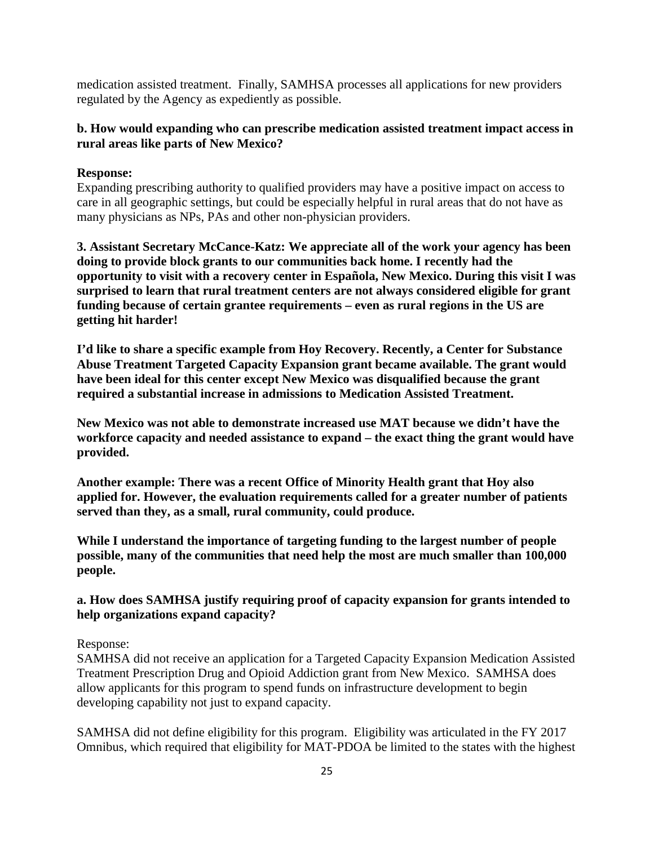medication assisted treatment. Finally, SAMHSA processes all applications for new providers regulated by the Agency as expediently as possible.

## **b. How would expanding who can prescribe medication assisted treatment impact access in rural areas like parts of New Mexico?**

### **Response:**

Expanding prescribing authority to qualified providers may have a positive impact on access to care in all geographic settings, but could be especially helpful in rural areas that do not have as many physicians as NPs, PAs and other non-physician providers.

**3. Assistant Secretary McCance-Katz: We appreciate all of the work your agency has been doing to provide block grants to our communities back home. I recently had the opportunity to visit with a recovery center in Española, New Mexico. During this visit I was surprised to learn that rural treatment centers are not always considered eligible for grant funding because of certain grantee requirements – even as rural regions in the US are getting hit harder!**

**I'd like to share a specific example from Hoy Recovery. Recently, a Center for Substance Abuse Treatment Targeted Capacity Expansion grant became available. The grant would have been ideal for this center except New Mexico was disqualified because the grant required a substantial increase in admissions to Medication Assisted Treatment.**

**New Mexico was not able to demonstrate increased use MAT because we didn't have the workforce capacity and needed assistance to expand – the exact thing the grant would have provided.**

**Another example: There was a recent Office of Minority Health grant that Hoy also applied for. However, the evaluation requirements called for a greater number of patients served than they, as a small, rural community, could produce.**

**While I understand the importance of targeting funding to the largest number of people possible, many of the communities that need help the most are much smaller than 100,000 people.**

## **a. How does SAMHSA justify requiring proof of capacity expansion for grants intended to help organizations expand capacity?**

### Response:

SAMHSA did not receive an application for a Targeted Capacity Expansion Medication Assisted Treatment Prescription Drug and Opioid Addiction grant from New Mexico. SAMHSA does allow applicants for this program to spend funds on infrastructure development to begin developing capability not just to expand capacity.

SAMHSA did not define eligibility for this program. Eligibility was articulated in the FY 2017 Omnibus, which required that eligibility for MAT-PDOA be limited to the states with the highest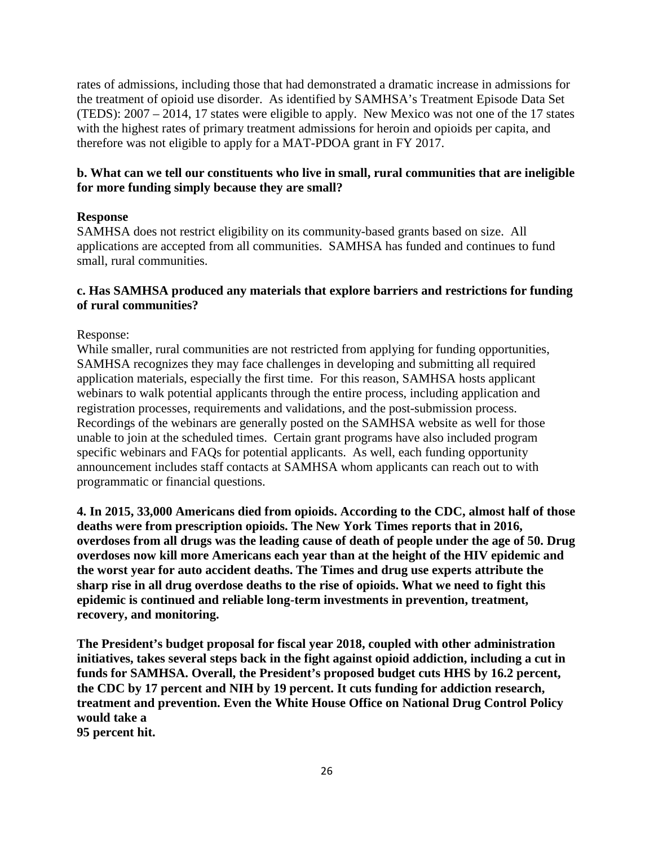rates of admissions, including those that had demonstrated a dramatic increase in admissions for the treatment of opioid use disorder. As identified by SAMHSA's Treatment Episode Data Set (TEDS): 2007 – 2014, 17 states were eligible to apply. New Mexico was not one of the 17 states with the highest rates of primary treatment admissions for heroin and opioids per capita, and therefore was not eligible to apply for a MAT-PDOA grant in FY 2017.

## **b. What can we tell our constituents who live in small, rural communities that are ineligible for more funding simply because they are small?**

### **Response**

SAMHSA does not restrict eligibility on its community-based grants based on size. All applications are accepted from all communities. SAMHSA has funded and continues to fund small, rural communities.

### **c. Has SAMHSA produced any materials that explore barriers and restrictions for funding of rural communities?**

### Response:

While smaller, rural communities are not restricted from applying for funding opportunities, SAMHSA recognizes they may face challenges in developing and submitting all required application materials, especially the first time. For this reason, SAMHSA hosts applicant webinars to walk potential applicants through the entire process, including application and registration processes, requirements and validations, and the post-submission process. Recordings of the webinars are generally posted on the SAMHSA website as well for those unable to join at the scheduled times. Certain grant programs have also included program specific webinars and FAQs for potential applicants. As well, each funding opportunity announcement includes staff contacts at SAMHSA whom applicants can reach out to with programmatic or financial questions.

**4. In 2015, 33,000 Americans died from opioids. According to the CDC, almost half of those deaths were from prescription opioids. The New York Times reports that in 2016, overdoses from all drugs was the leading cause of death of people under the age of 50. Drug overdoses now kill more Americans each year than at the height of the HIV epidemic and the worst year for auto accident deaths. The Times and drug use experts attribute the sharp rise in all drug overdose deaths to the rise of opioids. What we need to fight this epidemic is continued and reliable long-term investments in prevention, treatment, recovery, and monitoring.**

**The President's budget proposal for fiscal year 2018, coupled with other administration initiatives, takes several steps back in the fight against opioid addiction, including a cut in funds for SAMHSA. Overall, the President's proposed budget cuts HHS by 16.2 percent, the CDC by 17 percent and NIH by 19 percent. It cuts funding for addiction research, treatment and prevention. Even the White House Office on National Drug Control Policy would take a 95 percent hit.**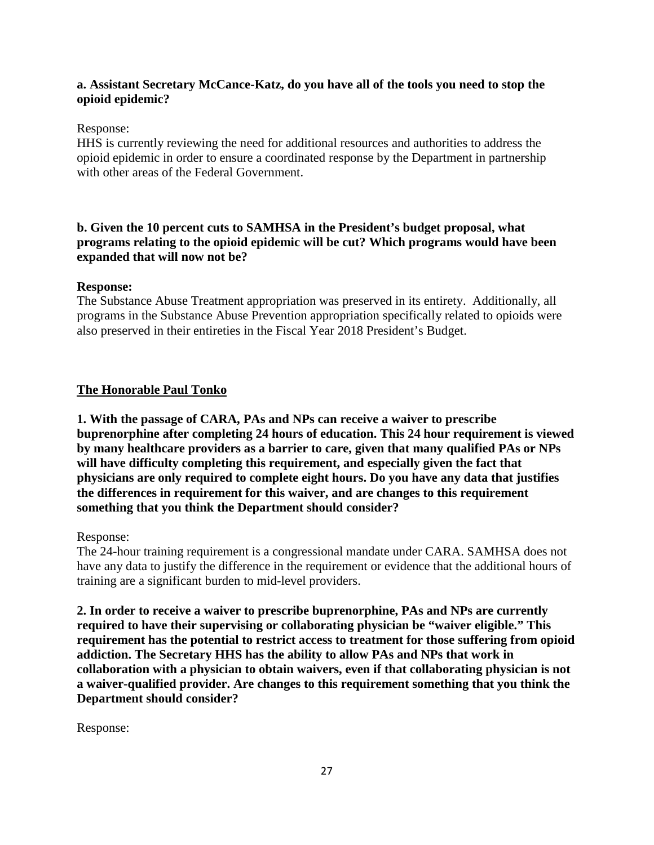## **a. Assistant Secretary McCance-Katz, do you have all of the tools you need to stop the opioid epidemic?**

### Response:

HHS is currently reviewing the need for additional resources and authorities to address the opioid epidemic in order to ensure a coordinated response by the Department in partnership with other areas of the Federal Government.

# **b. Given the 10 percent cuts to SAMHSA in the President's budget proposal, what programs relating to the opioid epidemic will be cut? Which programs would have been expanded that will now not be?**

### **Response:**

The Substance Abuse Treatment appropriation was preserved in its entirety. Additionally, all programs in the Substance Abuse Prevention appropriation specifically related to opioids were also preserved in their entireties in the Fiscal Year 2018 President's Budget.

## **The Honorable Paul Tonko**

**1. With the passage of CARA, PAs and NPs can receive a waiver to prescribe buprenorphine after completing 24 hours of education. This 24 hour requirement is viewed by many healthcare providers as a barrier to care, given that many qualified PAs or NPs will have difficulty completing this requirement, and especially given the fact that physicians are only required to complete eight hours. Do you have any data that justifies the differences in requirement for this waiver, and are changes to this requirement something that you think the Department should consider?**

### Response:

The 24-hour training requirement is a congressional mandate under CARA. SAMHSA does not have any data to justify the difference in the requirement or evidence that the additional hours of training are a significant burden to mid-level providers.

**2. In order to receive a waiver to prescribe buprenorphine, PAs and NPs are currently required to have their supervising or collaborating physician be "waiver eligible." This requirement has the potential to restrict access to treatment for those suffering from opioid addiction. The Secretary HHS has the ability to allow PAs and NPs that work in collaboration with a physician to obtain waivers, even if that collaborating physician is not a waiver-qualified provider. Are changes to this requirement something that you think the Department should consider?**

Response: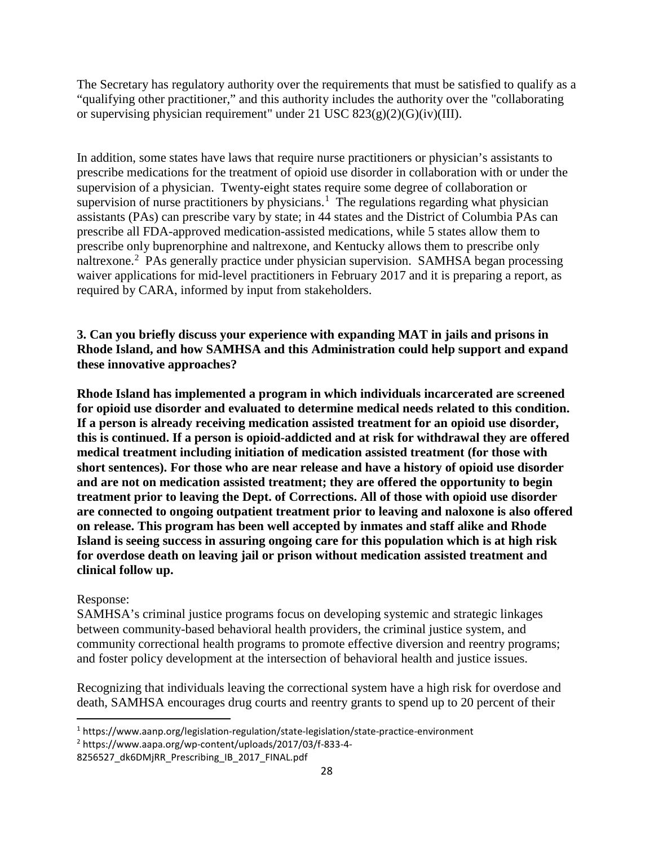The Secretary has regulatory authority over the requirements that must be satisfied to qualify as a "qualifying other practitioner," and this authority includes the authority over the "collaborating or supervising physician requirement" under 21 USC  $823(g)(2)(G)(iv)(III)$ .

In addition, some states have laws that require nurse practitioners or physician's assistants to prescribe medications for the treatment of opioid use disorder in collaboration with or under the supervision of a physician. Twenty-eight states require some degree of collaboration or supervision of nurse practitioners by physicians.<sup>[1](#page-27-0)</sup> The regulations regarding what physician assistants (PAs) can prescribe vary by state; in 44 states and the District of Columbia PAs can prescribe all FDA-approved medication-assisted medications, while 5 states allow them to prescribe only buprenorphine and naltrexone, and Kentucky allows them to prescribe only naltrexone.<sup>[2](#page-27-1)</sup> PAs generally practice under physician supervision. SAMHSA began processing waiver applications for mid-level practitioners in February 2017 and it is preparing a report, as required by CARA, informed by input from stakeholders.

# **3. Can you briefly discuss your experience with expanding MAT in jails and prisons in Rhode Island, and how SAMHSA and this Administration could help support and expand these innovative approaches?**

**Rhode Island has implemented a program in which individuals incarcerated are screened for opioid use disorder and evaluated to determine medical needs related to this condition. If a person is already receiving medication assisted treatment for an opioid use disorder, this is continued. If a person is opioid-addicted and at risk for withdrawal they are offered medical treatment including initiation of medication assisted treatment (for those with short sentences). For those who are near release and have a history of opioid use disorder and are not on medication assisted treatment; they are offered the opportunity to begin treatment prior to leaving the Dept. of Corrections. All of those with opioid use disorder are connected to ongoing outpatient treatment prior to leaving and naloxone is also offered on release. This program has been well accepted by inmates and staff alike and Rhode Island is seeing success in assuring ongoing care for this population which is at high risk for overdose death on leaving jail or prison without medication assisted treatment and clinical follow up.**

## Response:

SAMHSA's criminal justice programs focus on developing systemic and strategic linkages between community-based behavioral health providers, the criminal justice system, and community correctional health programs to promote effective diversion and reentry programs; and foster policy development at the intersection of behavioral health and justice issues.

Recognizing that individuals leaving the correctional system have a high risk for overdose and death, SAMHSA encourages drug courts and reentry grants to spend up to 20 percent of their

<span id="page-27-0"></span> <sup>1</sup> https://www.aanp.org/legislation-regulation/state-legislation/state-practice-environment

<span id="page-27-1"></span><sup>2</sup> https://www.aapa.org/wp-content/uploads/2017/03/f-833-4-

<sup>8256527</sup>\_dk6DMjRR\_Prescribing\_IB\_2017\_FINAL.pdf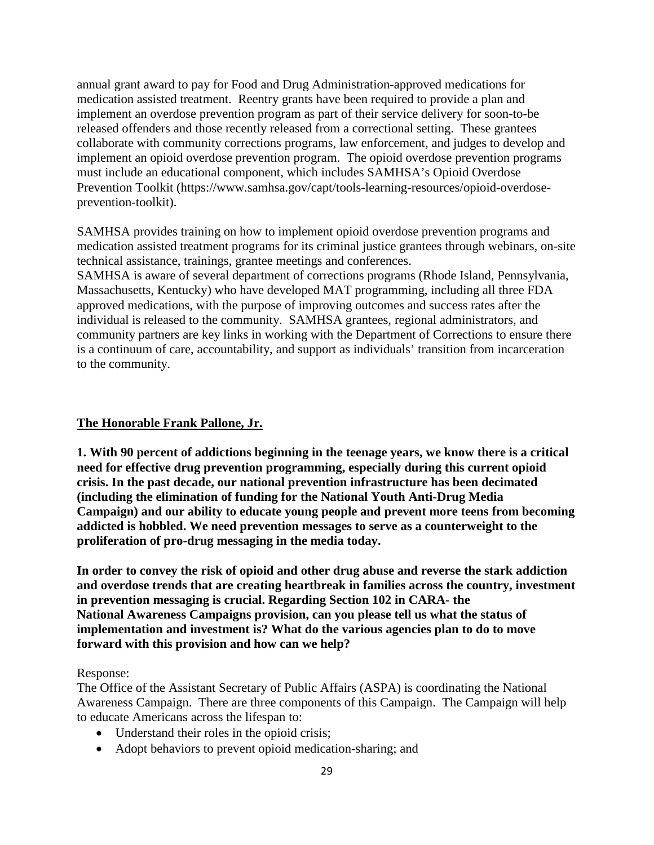annual grant award to pay for Food and Drug Administration-approved medications for medication assisted treatment. Reentry grants have been required to provide a plan and implement an overdose prevention program as part of their service delivery for soon-to-be released offenders and those recently released from a correctional setting. These grantees collaborate with community corrections programs, law enforcement, and judges to develop and implement an opioid overdose prevention program. The opioid overdose prevention programs must include an educational component, which includes SAMHSA's Opioid Overdose Prevention Toolkit (https://www.samhsa.gov/capt/tools-learning-resources/opioid-overdoseprevention-toolkit).

SAMHSA provides training on how to implement opioid overdose prevention programs and medication assisted treatment programs for its criminal justice grantees through webinars, on-site technical assistance, trainings, grantee meetings and conferences.

SAMHSA is aware of several department of corrections programs (Rhode Island, Pennsylvania, Massachusetts, Kentucky) who have developed MAT programming, including all three FDA approved medications, with the purpose of improving outcomes and success rates after the individual is released to the community. SAMHSA grantees, regional administrators, and community partners are key links in working with the Department of Corrections to ensure there is a continuum of care, accountability, and support as individuals' transition from incarceration to the community.

### **The Honorable Frank Pallone, Jr.**

**1. With 90 percent of addictions beginning in the teenage years, we know there is a critical need for effective drug prevention programming, especially during this current opioid crisis. In the past decade, our national prevention infrastructure has been decimated (including the elimination of funding for the National Youth Anti-Drug Media Campaign) and our ability to educate young people and prevent more teens from becoming addicted is hobbled. We need prevention messages to serve as a counterweight to the proliferation of pro-drug messaging in the media today.**

**In order to convey the risk of opioid and other drug abuse and reverse the stark addiction and overdose trends that are creating heartbreak in families across the country, investment in prevention messaging is crucial. Regarding Section 102 in CARA- the National Awareness Campaigns provision, can you please tell us what the status of implementation and investment is? What do the various agencies plan to do to move forward with this provision and how can we help?**

Response:

The Office of the Assistant Secretary of Public Affairs (ASPA) is coordinating the National Awareness Campaign. There are three components of this Campaign. The Campaign will help to educate Americans across the lifespan to:

- Understand their roles in the opioid crisis;
- Adopt behaviors to prevent opioid medication-sharing; and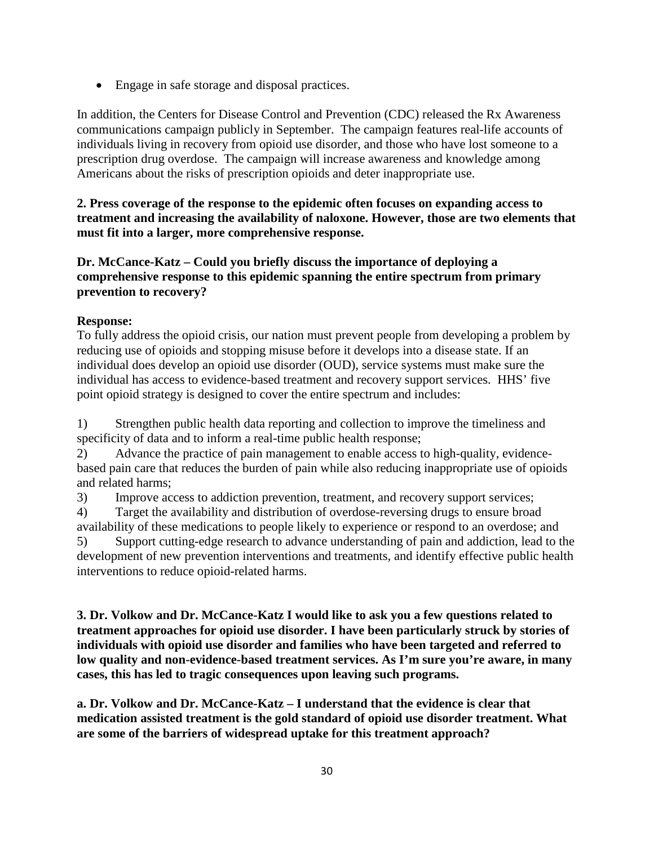• Engage in safe storage and disposal practices.

In addition, the Centers for Disease Control and Prevention (CDC) released the Rx Awareness communications campaign publicly in September. The campaign features real-life accounts of individuals living in recovery from opioid use disorder, and those who have lost someone to a prescription drug overdose. The campaign will increase awareness and knowledge among Americans about the risks of prescription opioids and deter inappropriate use.

# **2. Press coverage of the response to the epidemic often focuses on expanding access to treatment and increasing the availability of naloxone. However, those are two elements that must fit into a larger, more comprehensive response.**

**Dr. McCance-Katz – Could you briefly discuss the importance of deploying a comprehensive response to this epidemic spanning the entire spectrum from primary prevention to recovery?**

# **Response:**

To fully address the opioid crisis, our nation must prevent people from developing a problem by reducing use of opioids and stopping misuse before it develops into a disease state. If an individual does develop an opioid use disorder (OUD), service systems must make sure the individual has access to evidence-based treatment and recovery support services. HHS' five point opioid strategy is designed to cover the entire spectrum and includes:

1) Strengthen public health data reporting and collection to improve the timeliness and specificity of data and to inform a real-time public health response;

2) Advance the practice of pain management to enable access to high-quality, evidencebased pain care that reduces the burden of pain while also reducing inappropriate use of opioids and related harms;

3) Improve access to addiction prevention, treatment, and recovery support services;

4) Target the availability and distribution of overdose-reversing drugs to ensure broad availability of these medications to people likely to experience or respond to an overdose; and 5) Support cutting-edge research to advance understanding of pain and addiction, lead to the development of new prevention interventions and treatments, and identify effective public health interventions to reduce opioid-related harms.

**3. Dr. Volkow and Dr. McCance-Katz I would like to ask you a few questions related to treatment approaches for opioid use disorder. I have been particularly struck by stories of individuals with opioid use disorder and families who have been targeted and referred to low quality and non-evidence-based treatment services. As I'm sure you're aware, in many cases, this has led to tragic consequences upon leaving such programs.**

**a. Dr. Volkow and Dr. McCance-Katz – I understand that the evidence is clear that medication assisted treatment is the gold standard of opioid use disorder treatment. What are some of the barriers of widespread uptake for this treatment approach?**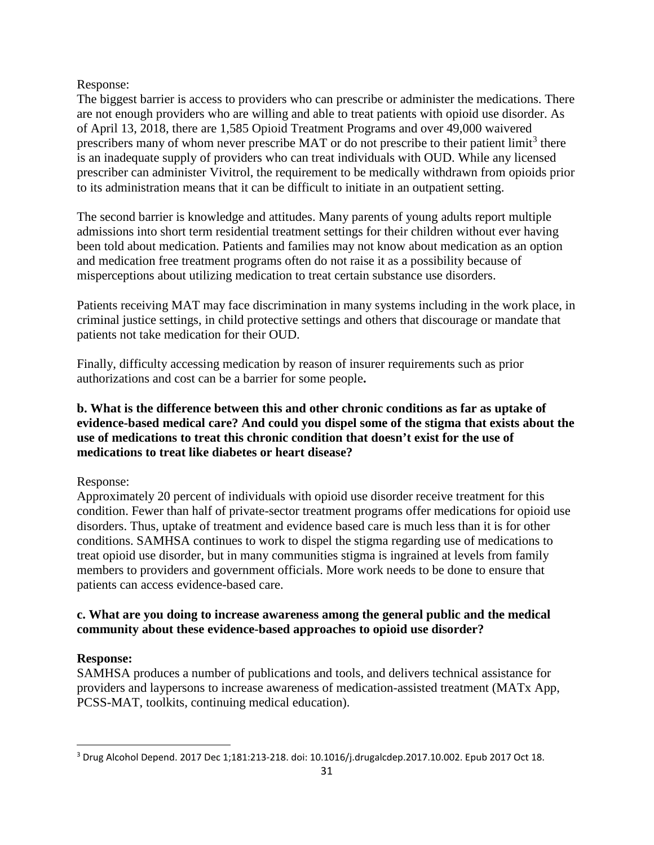Response:

The biggest barrier is access to providers who can prescribe or administer the medications. There are not enough providers who are willing and able to treat patients with opioid use disorder. As of April 13, 2018, there are 1,585 Opioid Treatment Programs and over 49,000 waivered prescribers many of whom never prescribe MAT or do not prescribe to their patient limit<sup>[3](#page-30-0)</sup> there is an inadequate supply of providers who can treat individuals with OUD. While any licensed prescriber can administer Vivitrol, the requirement to be medically withdrawn from opioids prior to its administration means that it can be difficult to initiate in an outpatient setting.

The second barrier is knowledge and attitudes. Many parents of young adults report multiple admissions into short term residential treatment settings for their children without ever having been told about medication. Patients and families may not know about medication as an option and medication free treatment programs often do not raise it as a possibility because of misperceptions about utilizing medication to treat certain substance use disorders.

Patients receiving MAT may face discrimination in many systems including in the work place, in criminal justice settings, in child protective settings and others that discourage or mandate that patients not take medication for their OUD.

Finally, difficulty accessing medication by reason of insurer requirements such as prior authorizations and cost can be a barrier for some people**.**

# **b. What is the difference between this and other chronic conditions as far as uptake of evidence-based medical care? And could you dispel some of the stigma that exists about the use of medications to treat this chronic condition that doesn't exist for the use of medications to treat like diabetes or heart disease?**

Response:

Approximately 20 percent of individuals with opioid use disorder receive treatment for this condition. Fewer than half of private-sector treatment programs offer medications for opioid use disorders. Thus, uptake of treatment and evidence based care is much less than it is for other conditions. SAMHSA continues to work to dispel the stigma regarding use of medications to treat opioid use disorder, but in many communities stigma is ingrained at levels from family members to providers and government officials. More work needs to be done to ensure that patients can access evidence-based care.

# **c. What are you doing to increase awareness among the general public and the medical community about these evidence-based approaches to opioid use disorder?**

# **Response:**

SAMHSA produces a number of publications and tools, and delivers technical assistance for providers and laypersons to increase awareness of medication-assisted treatment (MATx App, PCSS-MAT, toolkits, continuing medical education).

<span id="page-30-0"></span> <sup>3</sup> Drug Alcohol Depend. 2017 Dec 1;181:213-218. doi: 10.1016/j.drugalcdep.2017.10.002. Epub 2017 Oct 18.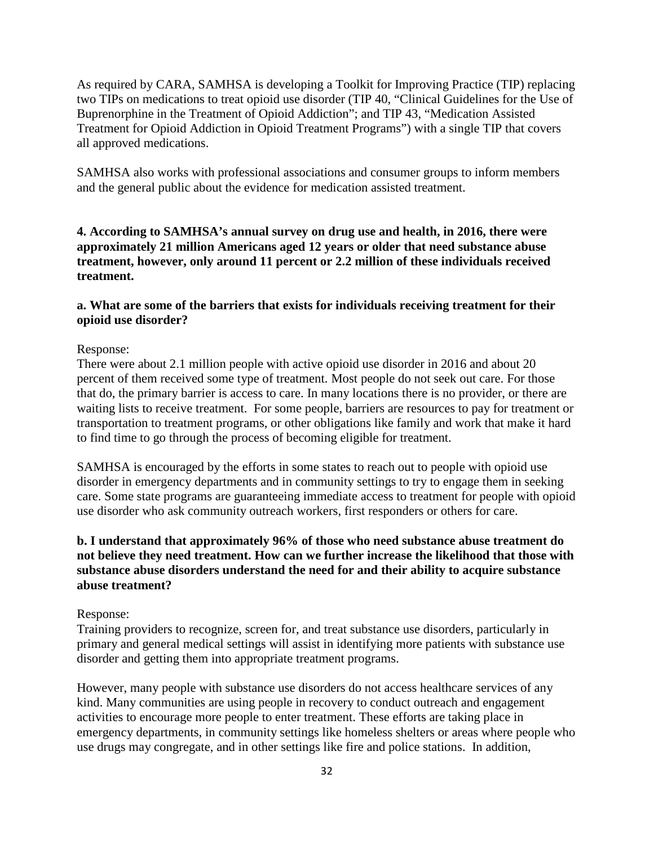As required by CARA, SAMHSA is developing a Toolkit for Improving Practice (TIP) replacing two TIPs on medications to treat opioid use disorder (TIP 40, "Clinical Guidelines for the Use of Buprenorphine in the Treatment of Opioid Addiction"; and TIP 43, "Medication Assisted Treatment for Opioid Addiction in Opioid Treatment Programs") with a single TIP that covers all approved medications.

SAMHSA also works with professional associations and consumer groups to inform members and the general public about the evidence for medication assisted treatment.

**4. According to SAMHSA's annual survey on drug use and health, in 2016, there were approximately 21 million Americans aged 12 years or older that need substance abuse treatment, however, only around 11 percent or 2.2 million of these individuals received treatment.**

### **a. What are some of the barriers that exists for individuals receiving treatment for their opioid use disorder?**

### Response:

There were about 2.1 million people with active opioid use disorder in 2016 and about 20 percent of them received some type of treatment. Most people do not seek out care. For those that do, the primary barrier is access to care. In many locations there is no provider, or there are waiting lists to receive treatment. For some people, barriers are resources to pay for treatment or transportation to treatment programs, or other obligations like family and work that make it hard to find time to go through the process of becoming eligible for treatment.

SAMHSA is encouraged by the efforts in some states to reach out to people with opioid use disorder in emergency departments and in community settings to try to engage them in seeking care. Some state programs are guaranteeing immediate access to treatment for people with opioid use disorder who ask community outreach workers, first responders or others for care.

## **b. I understand that approximately 96% of those who need substance abuse treatment do not believe they need treatment. How can we further increase the likelihood that those with substance abuse disorders understand the need for and their ability to acquire substance abuse treatment?**

#### Response:

Training providers to recognize, screen for, and treat substance use disorders, particularly in primary and general medical settings will assist in identifying more patients with substance use disorder and getting them into appropriate treatment programs.

However, many people with substance use disorders do not access healthcare services of any kind. Many communities are using people in recovery to conduct outreach and engagement activities to encourage more people to enter treatment. These efforts are taking place in emergency departments, in community settings like homeless shelters or areas where people who use drugs may congregate, and in other settings like fire and police stations. In addition,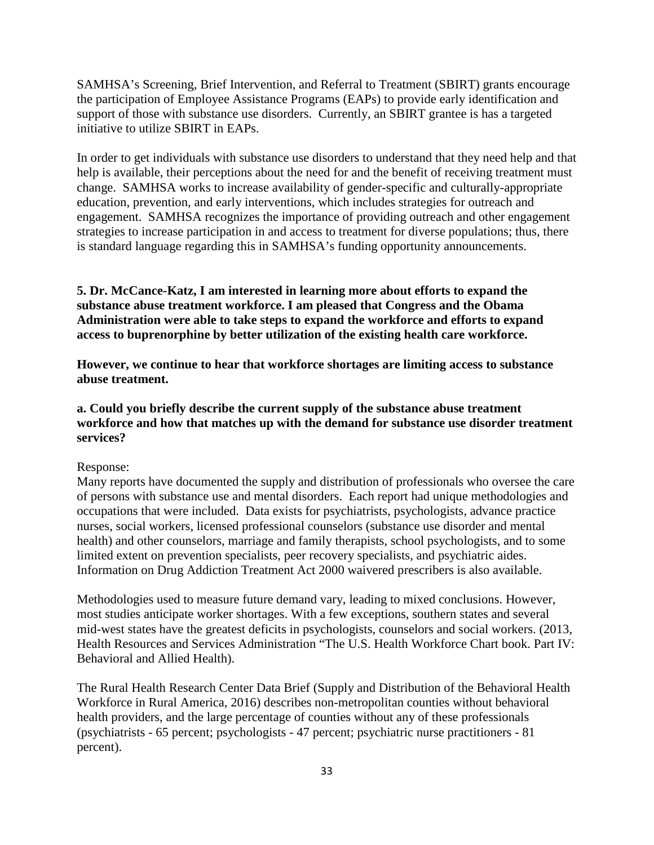SAMHSA's Screening, Brief Intervention, and Referral to Treatment (SBIRT) grants encourage the participation of Employee Assistance Programs (EAPs) to provide early identification and support of those with substance use disorders. Currently, an SBIRT grantee is has a targeted initiative to utilize SBIRT in EAPs.

In order to get individuals with substance use disorders to understand that they need help and that help is available, their perceptions about the need for and the benefit of receiving treatment must change. SAMHSA works to increase availability of gender-specific and culturally-appropriate education, prevention, and early interventions, which includes strategies for outreach and engagement. SAMHSA recognizes the importance of providing outreach and other engagement strategies to increase participation in and access to treatment for diverse populations; thus, there is standard language regarding this in SAMHSA's funding opportunity announcements.

**5. Dr. McCance-Katz, I am interested in learning more about efforts to expand the substance abuse treatment workforce. I am pleased that Congress and the Obama Administration were able to take steps to expand the workforce and efforts to expand access to buprenorphine by better utilization of the existing health care workforce.**

**However, we continue to hear that workforce shortages are limiting access to substance abuse treatment.**

## **a. Could you briefly describe the current supply of the substance abuse treatment workforce and how that matches up with the demand for substance use disorder treatment services?**

### Response:

Many reports have documented the supply and distribution of professionals who oversee the care of persons with substance use and mental disorders. Each report had unique methodologies and occupations that were included. Data exists for psychiatrists, psychologists, advance practice nurses, social workers, licensed professional counselors (substance use disorder and mental health) and other counselors, marriage and family therapists, school psychologists, and to some limited extent on prevention specialists, peer recovery specialists, and psychiatric aides. Information on Drug Addiction Treatment Act 2000 waivered prescribers is also available.

Methodologies used to measure future demand vary, leading to mixed conclusions. However, most studies anticipate worker shortages. With a few exceptions, southern states and several mid-west states have the greatest deficits in psychologists, counselors and social workers. (2013, Health Resources and Services Administration "The U.S. Health Workforce Chart book. Part IV: Behavioral and Allied Health).

The Rural Health Research Center Data Brief (Supply and Distribution of the Behavioral Health Workforce in Rural America, 2016) describes non-metropolitan counties without behavioral health providers, and the large percentage of counties without any of these professionals (psychiatrists - 65 percent; psychologists - 47 percent; psychiatric nurse practitioners - 81 percent).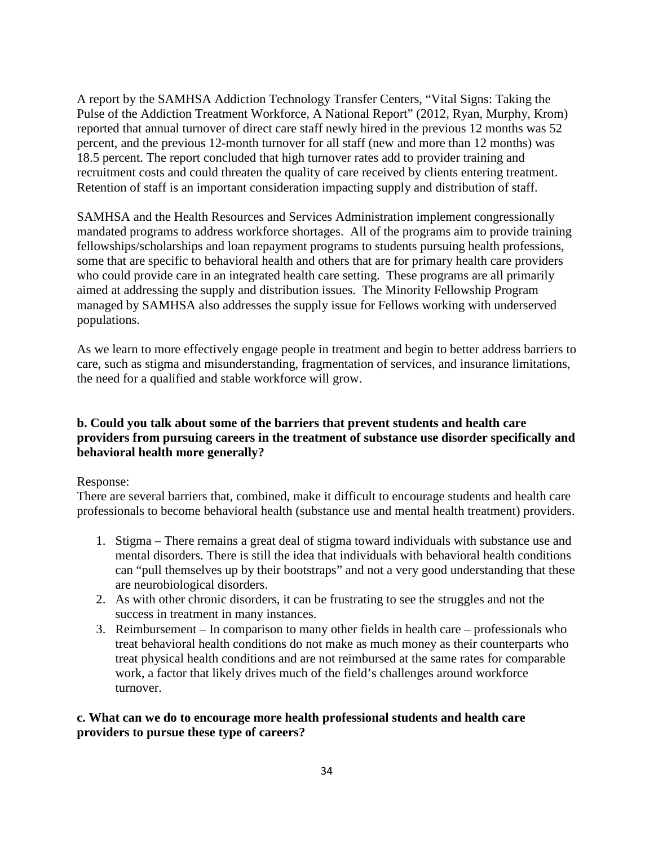A report by the SAMHSA Addiction Technology Transfer Centers, "Vital Signs: Taking the Pulse of the Addiction Treatment Workforce, A National Report" (2012, Ryan, Murphy, Krom) reported that annual turnover of direct care staff newly hired in the previous 12 months was 52 percent, and the previous 12-month turnover for all staff (new and more than 12 months) was 18.5 percent. The report concluded that high turnover rates add to provider training and recruitment costs and could threaten the quality of care received by clients entering treatment. Retention of staff is an important consideration impacting supply and distribution of staff.

SAMHSA and the Health Resources and Services Administration implement congressionally mandated programs to address workforce shortages. All of the programs aim to provide training fellowships/scholarships and loan repayment programs to students pursuing health professions, some that are specific to behavioral health and others that are for primary health care providers who could provide care in an integrated health care setting. These programs are all primarily aimed at addressing the supply and distribution issues. The Minority Fellowship Program managed by SAMHSA also addresses the supply issue for Fellows working with underserved populations.

As we learn to more effectively engage people in treatment and begin to better address barriers to care, such as stigma and misunderstanding, fragmentation of services, and insurance limitations, the need for a qualified and stable workforce will grow.

# **b. Could you talk about some of the barriers that prevent students and health care providers from pursuing careers in the treatment of substance use disorder specifically and behavioral health more generally?**

## Response:

There are several barriers that, combined, make it difficult to encourage students and health care professionals to become behavioral health (substance use and mental health treatment) providers.

- 1. Stigma There remains a great deal of stigma toward individuals with substance use and mental disorders. There is still the idea that individuals with behavioral health conditions can "pull themselves up by their bootstraps" and not a very good understanding that these are neurobiological disorders.
- 2. As with other chronic disorders, it can be frustrating to see the struggles and not the success in treatment in many instances.
- 3. Reimbursement In comparison to many other fields in health care professionals who treat behavioral health conditions do not make as much money as their counterparts who treat physical health conditions and are not reimbursed at the same rates for comparable work, a factor that likely drives much of the field's challenges around workforce turnover.

## **c. What can we do to encourage more health professional students and health care providers to pursue these type of careers?**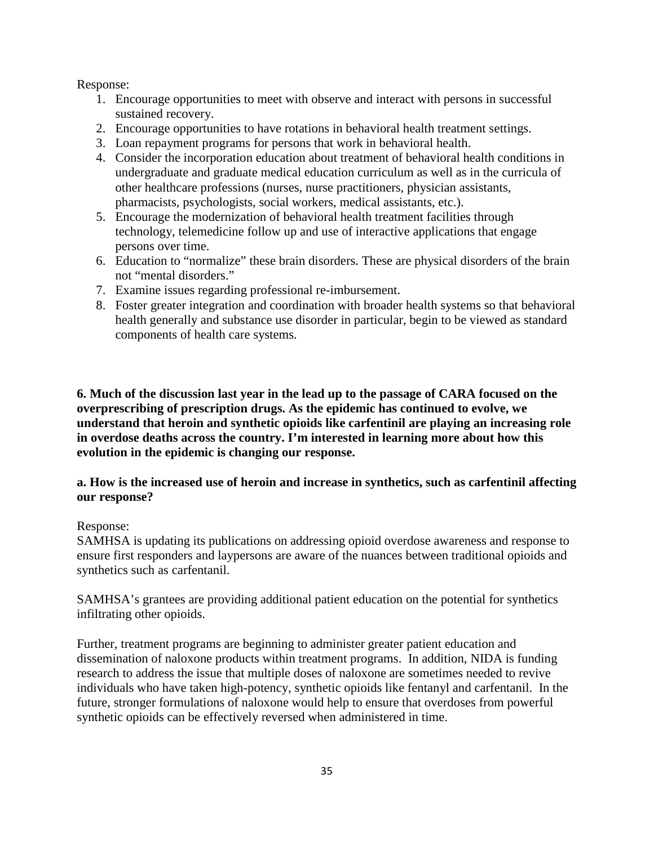Response:

- 1. Encourage opportunities to meet with observe and interact with persons in successful sustained recovery.
- 2. Encourage opportunities to have rotations in behavioral health treatment settings.
- 3. Loan repayment programs for persons that work in behavioral health.
- 4. Consider the incorporation education about treatment of behavioral health conditions in undergraduate and graduate medical education curriculum as well as in the curricula of other healthcare professions (nurses, nurse practitioners, physician assistants, pharmacists, psychologists, social workers, medical assistants, etc.).
- 5. Encourage the modernization of behavioral health treatment facilities through technology, telemedicine follow up and use of interactive applications that engage persons over time.
- 6. Education to "normalize" these brain disorders. These are physical disorders of the brain not "mental disorders."
- 7. Examine issues regarding professional re-imbursement.
- 8. Foster greater integration and coordination with broader health systems so that behavioral health generally and substance use disorder in particular, begin to be viewed as standard components of health care systems.

**6. Much of the discussion last year in the lead up to the passage of CARA focused on the overprescribing of prescription drugs. As the epidemic has continued to evolve, we understand that heroin and synthetic opioids like carfentinil are playing an increasing role in overdose deaths across the country. I'm interested in learning more about how this evolution in the epidemic is changing our response.**

## **a. How is the increased use of heroin and increase in synthetics, such as carfentinil affecting our response?**

## Response:

SAMHSA is updating its publications on addressing opioid overdose awareness and response to ensure first responders and laypersons are aware of the nuances between traditional opioids and synthetics such as carfentanil.

SAMHSA's grantees are providing additional patient education on the potential for synthetics infiltrating other opioids.

Further, treatment programs are beginning to administer greater patient education and dissemination of naloxone products within treatment programs. In addition, NIDA is funding research to address the issue that multiple doses of naloxone are sometimes needed to revive individuals who have taken high-potency, synthetic opioids like fentanyl and carfentanil. In the future, stronger formulations of naloxone would help to ensure that overdoses from powerful synthetic opioids can be effectively reversed when administered in time.